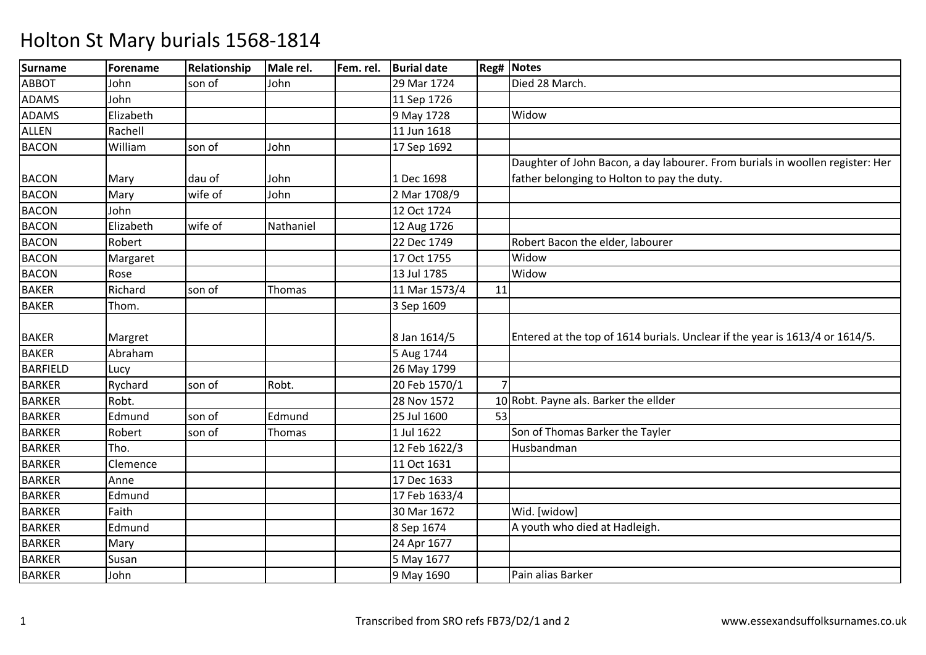| <b>Surname</b>  | Forename  | Relationship | Male rel. | Fem. rel. | <b>Burial date</b> |    | <b>Reg# Notes</b>                                                             |
|-----------------|-----------|--------------|-----------|-----------|--------------------|----|-------------------------------------------------------------------------------|
| <b>ABBOT</b>    | John      | son of       | John      |           | 29 Mar 1724        |    | Died 28 March.                                                                |
| <b>ADAMS</b>    | John      |              |           |           | 11 Sep 1726        |    |                                                                               |
| <b>ADAMS</b>    | Elizabeth |              |           |           | 9 May 1728         |    | Widow                                                                         |
| <b>ALLEN</b>    | Rachell   |              |           |           | 11 Jun 1618        |    |                                                                               |
| <b>BACON</b>    | William   | son of       | John      |           | 17 Sep 1692        |    |                                                                               |
|                 |           |              |           |           |                    |    | Daughter of John Bacon, a day labourer. From burials in woollen register: Her |
| <b>BACON</b>    | Mary      | dau of       | John      |           | 1 Dec 1698         |    | father belonging to Holton to pay the duty.                                   |
| <b>BACON</b>    | Mary      | wife of      | John      |           | 2 Mar 1708/9       |    |                                                                               |
| <b>BACON</b>    | John      |              |           |           | 12 Oct 1724        |    |                                                                               |
| <b>BACON</b>    | Elizabeth | wife of      | Nathaniel |           | 12 Aug 1726        |    |                                                                               |
| <b>BACON</b>    | Robert    |              |           |           | 22 Dec 1749        |    | Robert Bacon the elder, labourer                                              |
| <b>BACON</b>    | Margaret  |              |           |           | 17 Oct 1755        |    | Widow                                                                         |
| <b>BACON</b>    | Rose      |              |           |           | 13 Jul 1785        |    | Widow                                                                         |
| <b>BAKER</b>    | Richard   | son of       | Thomas    |           | 11 Mar 1573/4      | 11 |                                                                               |
| <b>BAKER</b>    | Thom.     |              |           |           | 3 Sep 1609         |    |                                                                               |
|                 |           |              |           |           |                    |    |                                                                               |
| <b>BAKER</b>    | Margret   |              |           |           | 8 Jan 1614/5       |    | Entered at the top of 1614 burials. Unclear if the year is 1613/4 or 1614/5.  |
| <b>BAKER</b>    | Abraham   |              |           |           | 5 Aug 1744         |    |                                                                               |
| <b>BARFIELD</b> | Lucy      |              |           |           | 26 May 1799        |    |                                                                               |
| <b>BARKER</b>   | Rychard   | son of       | Robt.     |           | 20 Feb 1570/1      |    |                                                                               |
| <b>BARKER</b>   | Robt.     |              |           |           | 28 Nov 1572        |    | 10 Robt. Payne als. Barker the ellder                                         |
| <b>BARKER</b>   | Edmund    | son of       | Edmund    |           | 25 Jul 1600        | 53 |                                                                               |
| <b>BARKER</b>   | Robert    | son of       | Thomas    |           | 1 Jul 1622         |    | Son of Thomas Barker the Tayler                                               |
| <b>BARKER</b>   | Tho.      |              |           |           | 12 Feb 1622/3      |    | Husbandman                                                                    |
| <b>BARKER</b>   | Clemence  |              |           |           | 11 Oct 1631        |    |                                                                               |
| <b>BARKER</b>   | Anne      |              |           |           | 17 Dec 1633        |    |                                                                               |
| <b>BARKER</b>   | Edmund    |              |           |           | 17 Feb 1633/4      |    |                                                                               |
| <b>BARKER</b>   | Faith     |              |           |           | 30 Mar 1672        |    | Wid. [widow]                                                                  |
| <b>BARKER</b>   | Edmund    |              |           |           | 8 Sep 1674         |    | A youth who died at Hadleigh.                                                 |
| <b>BARKER</b>   | Mary      |              |           |           | 24 Apr 1677        |    |                                                                               |
| <b>BARKER</b>   | Susan     |              |           |           | 5 May 1677         |    |                                                                               |
| <b>BARKER</b>   | John      |              |           |           | 9 May 1690         |    | Pain alias Barker                                                             |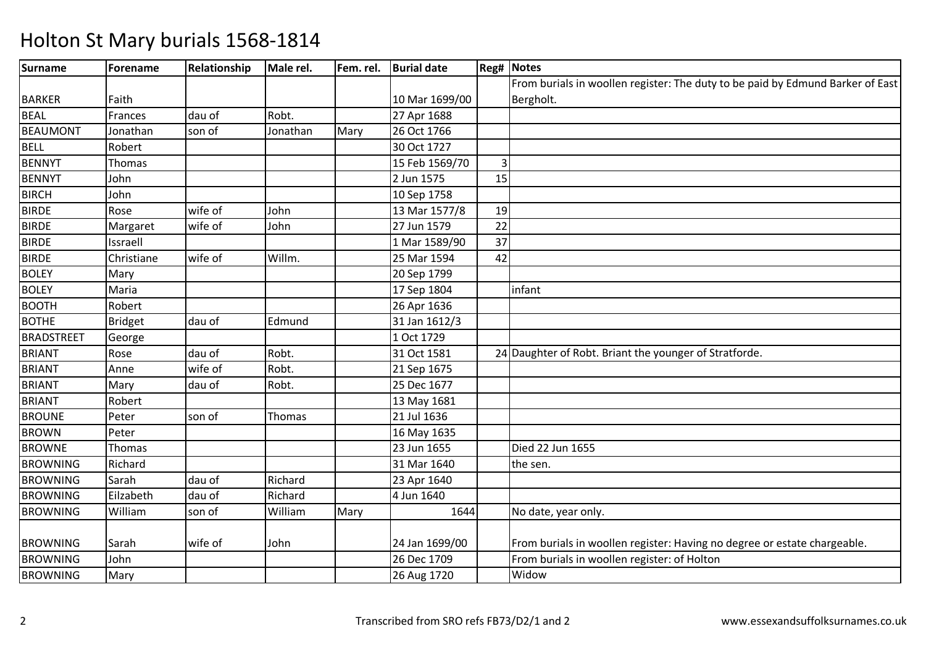| <b>Surname</b>    | Forename       | Relationship | Male rel. | Fem. rel. | <b>Burial date</b> |    | <b>Reg# Notes</b>                                                              |
|-------------------|----------------|--------------|-----------|-----------|--------------------|----|--------------------------------------------------------------------------------|
|                   |                |              |           |           |                    |    | From burials in woollen register: The duty to be paid by Edmund Barker of East |
| <b>BARKER</b>     | Faith          |              |           |           | 10 Mar 1699/00     |    | Bergholt.                                                                      |
| <b>BEAL</b>       | Frances        | dau of       | Robt.     |           | 27 Apr 1688        |    |                                                                                |
| <b>BEAUMONT</b>   | Jonathan       | son of       | Jonathan  | Mary      | 26 Oct 1766        |    |                                                                                |
| <b>BELL</b>       | Robert         |              |           |           | 30 Oct 1727        |    |                                                                                |
| <b>BENNYT</b>     | Thomas         |              |           |           | 15 Feb 1569/70     | 3  |                                                                                |
| <b>BENNYT</b>     | John           |              |           |           | 2 Jun 1575         | 15 |                                                                                |
| <b>BIRCH</b>      | John           |              |           |           | 10 Sep 1758        |    |                                                                                |
| <b>BIRDE</b>      | Rose           | wife of      | John      |           | 13 Mar 1577/8      | 19 |                                                                                |
| <b>BIRDE</b>      | Margaret       | wife of      | John      |           | 27 Jun 1579        | 22 |                                                                                |
| <b>BIRDE</b>      | Issraell       |              |           |           | 1 Mar 1589/90      | 37 |                                                                                |
| <b>BIRDE</b>      | Christiane     | wife of      | Willm.    |           | 25 Mar 1594        | 42 |                                                                                |
| <b>BOLEY</b>      | Mary           |              |           |           | 20 Sep 1799        |    |                                                                                |
| <b>BOLEY</b>      | Maria          |              |           |           | 17 Sep 1804        |    | infant                                                                         |
| <b>BOOTH</b>      | Robert         |              |           |           | 26 Apr 1636        |    |                                                                                |
| <b>BOTHE</b>      | <b>Bridget</b> | dau of       | Edmund    |           | 31 Jan 1612/3      |    |                                                                                |
| <b>BRADSTREET</b> | George         |              |           |           | 1 Oct 1729         |    |                                                                                |
| <b>BRIANT</b>     | Rose           | dau of       | Robt.     |           | 31 Oct 1581        |    | 24 Daughter of Robt. Briant the younger of Stratforde.                         |
| <b>BRIANT</b>     | Anne           | wife of      | Robt.     |           | 21 Sep 1675        |    |                                                                                |
| <b>BRIANT</b>     | Mary           | dau of       | Robt.     |           | 25 Dec 1677        |    |                                                                                |
| <b>BRIANT</b>     | Robert         |              |           |           | 13 May 1681        |    |                                                                                |
| <b>BROUNE</b>     | Peter          | son of       | Thomas    |           | 21 Jul 1636        |    |                                                                                |
| <b>BROWN</b>      | Peter          |              |           |           | 16 May 1635        |    |                                                                                |
| <b>BROWNE</b>     | Thomas         |              |           |           | 23 Jun 1655        |    | Died 22 Jun 1655                                                               |
| <b>BROWNING</b>   | Richard        |              |           |           | 31 Mar 1640        |    | the sen.                                                                       |
| <b>BROWNING</b>   | Sarah          | dau of       | Richard   |           | 23 Apr 1640        |    |                                                                                |
| <b>BROWNING</b>   | Eilzabeth      | dau of       | Richard   |           | 4 Jun 1640         |    |                                                                                |
| <b>BROWNING</b>   | William        | son of       | William   | Mary      | 1644               |    | No date, year only.                                                            |
| <b>BROWNING</b>   | Sarah          | wife of      | John      |           | 24 Jan 1699/00     |    | From burials in woollen register: Having no degree or estate chargeable.       |
| <b>BROWNING</b>   | John           |              |           |           | 26 Dec 1709        |    | From burials in woollen register: of Holton                                    |
| <b>BROWNING</b>   | Mary           |              |           |           | 26 Aug 1720        |    | Widow                                                                          |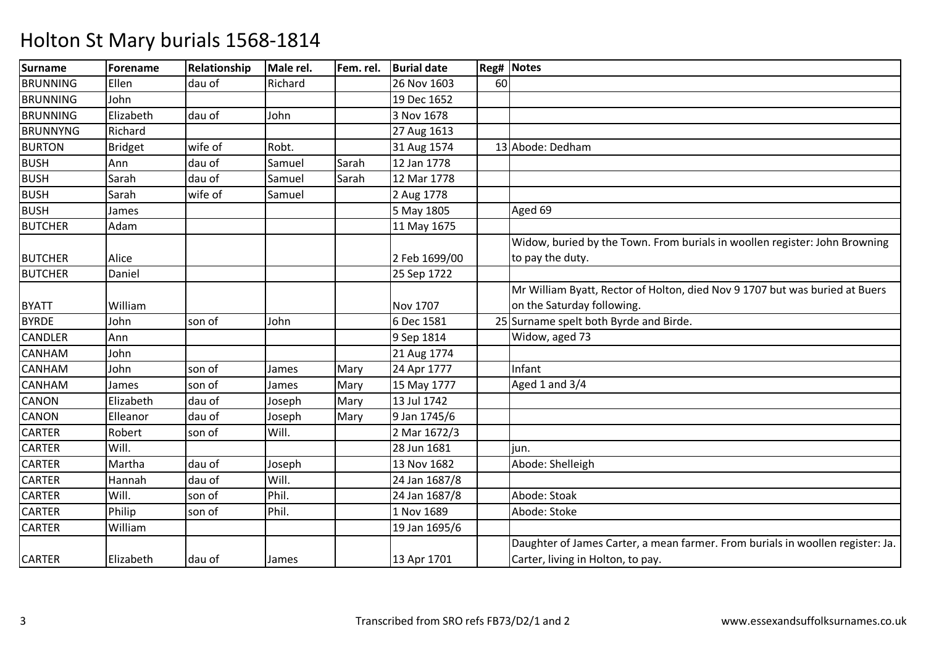| <b>Surname</b>  | Forename  | Relationship | Male rel. | Fem. rel. | <b>Burial date</b> |    | <b>Reg# Notes</b>                                                              |
|-----------------|-----------|--------------|-----------|-----------|--------------------|----|--------------------------------------------------------------------------------|
| <b>BRUNNING</b> | Ellen     | dau of       | Richard   |           | 26 Nov 1603        | 60 |                                                                                |
| <b>BRUNNING</b> | John      |              |           |           | 19 Dec 1652        |    |                                                                                |
| <b>BRUNNING</b> | Elizabeth | dau of       | John      |           | 3 Nov 1678         |    |                                                                                |
| <b>BRUNNYNG</b> | Richard   |              |           |           | 27 Aug 1613        |    |                                                                                |
| <b>BURTON</b>   | Bridget   | wife of      | Robt.     |           | 31 Aug 1574        |    | 13 Abode: Dedham                                                               |
| <b>BUSH</b>     | Ann       | dau of       | Samuel    | Sarah     | 12 Jan 1778        |    |                                                                                |
| <b>BUSH</b>     | Sarah     | dau of       | Samuel    | Sarah     | 12 Mar 1778        |    |                                                                                |
| <b>BUSH</b>     | Sarah     | wife of      | Samuel    |           | 2 Aug 1778         |    |                                                                                |
| <b>BUSH</b>     | James     |              |           |           | 5 May 1805         |    | Aged 69                                                                        |
| <b>BUTCHER</b>  | Adam      |              |           |           | 11 May 1675        |    |                                                                                |
|                 |           |              |           |           |                    |    | Widow, buried by the Town. From burials in woollen register: John Browning     |
| <b>BUTCHER</b>  | Alice     |              |           |           | 2 Feb 1699/00      |    | to pay the duty.                                                               |
| <b>BUTCHER</b>  | Daniel    |              |           |           | 25 Sep 1722        |    |                                                                                |
|                 |           |              |           |           |                    |    | Mr William Byatt, Rector of Holton, died Nov 9 1707 but was buried at Buers    |
| <b>BYATT</b>    | William   |              |           |           | Nov 1707           |    | on the Saturday following.                                                     |
| <b>BYRDE</b>    | John      | son of       | John      |           | 6 Dec 1581         |    | 25 Surname spelt both Byrde and Birde.                                         |
| <b>CANDLER</b>  | Ann       |              |           |           | 9 Sep 1814         |    | Widow, aged 73                                                                 |
| CANHAM          | John      |              |           |           | 21 Aug 1774        |    |                                                                                |
| <b>CANHAM</b>   | John      | son of       | James     | Mary      | 24 Apr 1777        |    | Infant                                                                         |
| <b>CANHAM</b>   | James     | son of       | James     | Mary      | 15 May 1777        |    | Aged 1 and 3/4                                                                 |
| <b>CANON</b>    | Elizabeth | dau of       | Joseph    | Mary      | 13 Jul 1742        |    |                                                                                |
| <b>CANON</b>    | Elleanor  | dau of       | Joseph    | Mary      | 9 Jan 1745/6       |    |                                                                                |
| <b>CARTER</b>   | Robert    | son of       | Will.     |           | 2 Mar 1672/3       |    |                                                                                |
| <b>CARTER</b>   | Will.     |              |           |           | 28 Jun 1681        |    | iun.                                                                           |
| <b>CARTER</b>   | Martha    | dau of       | Joseph    |           | 13 Nov 1682        |    | Abode: Shelleigh                                                               |
| <b>CARTER</b>   | Hannah    | dau of       | Will.     |           | 24 Jan 1687/8      |    |                                                                                |
| <b>CARTER</b>   | Will.     | son of       | Phil.     |           | 24 Jan 1687/8      |    | Abode: Stoak                                                                   |
| <b>CARTER</b>   | Philip    | son of       | Phil.     |           | 1 Nov 1689         |    | Abode: Stoke                                                                   |
| <b>CARTER</b>   | William   |              |           |           | 19 Jan 1695/6      |    |                                                                                |
|                 |           |              |           |           |                    |    | Daughter of James Carter, a mean farmer. From burials in woollen register: Ja. |
| <b>CARTER</b>   | Elizabeth | dau of       | James     |           | 13 Apr 1701        |    | Carter, living in Holton, to pay.                                              |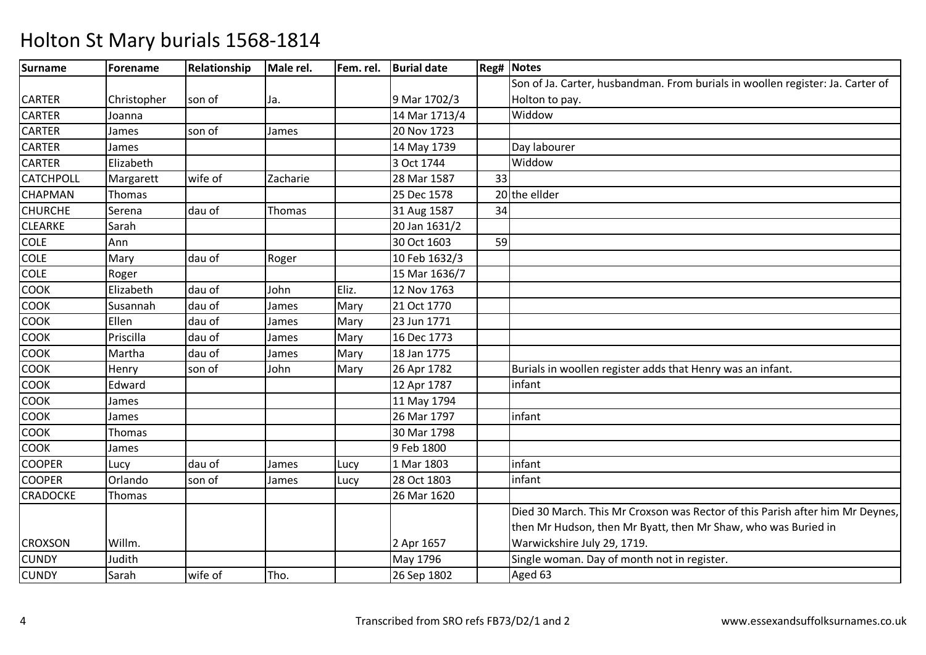| <b>Surname</b>   | Forename    | Relationship | Male rel. | Fem. rel. | <b>Burial date</b> |    | <b>Reg# Notes</b>                                                              |
|------------------|-------------|--------------|-----------|-----------|--------------------|----|--------------------------------------------------------------------------------|
|                  |             |              |           |           |                    |    | Son of Ja. Carter, husbandman. From burials in woollen register: Ja. Carter of |
| <b>CARTER</b>    | Christopher | son of       | Ja.       |           | 9 Mar 1702/3       |    | Holton to pay.                                                                 |
| <b>CARTER</b>    | Joanna      |              |           |           | 14 Mar 1713/4      |    | Widdow                                                                         |
| <b>CARTER</b>    | James       | son of       | James     |           | 20 Nov 1723        |    |                                                                                |
| <b>CARTER</b>    | James       |              |           |           | 14 May 1739        |    | Day labourer                                                                   |
| <b>CARTER</b>    | Elizabeth   |              |           |           | 3 Oct 1744         |    | Widdow                                                                         |
| <b>CATCHPOLL</b> | Margarett   | wife of      | Zacharie  |           | 28 Mar 1587        | 33 |                                                                                |
| <b>CHAPMAN</b>   | Thomas      |              |           |           | 25 Dec 1578        |    | 20 the ellder                                                                  |
| <b>CHURCHE</b>   | Serena      | dau of       | Thomas    |           | 31 Aug 1587        | 34 |                                                                                |
| <b>CLEARKE</b>   | Sarah       |              |           |           | 20 Jan 1631/2      |    |                                                                                |
| <b>COLE</b>      | Ann         |              |           |           | 30 Oct 1603        | 59 |                                                                                |
| <b>COLE</b>      | Mary        | dau of       | Roger     |           | 10 Feb 1632/3      |    |                                                                                |
| <b>COLE</b>      | Roger       |              |           |           | 15 Mar 1636/7      |    |                                                                                |
| COOK             | Elizabeth   | dau of       | John      | Eliz.     | 12 Nov 1763        |    |                                                                                |
| COOK             | Susannah    | dau of       | James     | Mary      | 21 Oct 1770        |    |                                                                                |
| COOK             | Ellen       | dau of       | James     | Mary      | 23 Jun 1771        |    |                                                                                |
| COOK             | Priscilla   | dau of       | James     | Mary      | 16 Dec 1773        |    |                                                                                |
| COOK             | Martha      | dau of       | James     | Mary      | 18 Jan 1775        |    |                                                                                |
| COOK             | Henry       | son of       | John      | Mary      | 26 Apr 1782        |    | Burials in woollen register adds that Henry was an infant.                     |
| <b>COOK</b>      | Edward      |              |           |           | 12 Apr 1787        |    | infant                                                                         |
| <b>COOK</b>      | James       |              |           |           | 11 May 1794        |    |                                                                                |
| <b>COOK</b>      | James       |              |           |           | 26 Mar 1797        |    | infant                                                                         |
| COOK             | Thomas      |              |           |           | 30 Mar 1798        |    |                                                                                |
| <b>COOK</b>      | James       |              |           |           | 9 Feb 1800         |    |                                                                                |
| <b>COOPER</b>    | Lucy        | dau of       | James     | Lucy      | 1 Mar 1803         |    | infant                                                                         |
| <b>COOPER</b>    | Orlando     | son of       | James     | Lucy      | 28 Oct 1803        |    | infant                                                                         |
| <b>CRADOCKE</b>  | Thomas      |              |           |           | 26 Mar 1620        |    |                                                                                |
|                  |             |              |           |           |                    |    | Died 30 March. This Mr Croxson was Rector of this Parish after him Mr Deynes,  |
|                  |             |              |           |           |                    |    | then Mr Hudson, then Mr Byatt, then Mr Shaw, who was Buried in                 |
| <b>CROXSON</b>   | Willm.      |              |           |           | 2 Apr 1657         |    | Warwickshire July 29, 1719.                                                    |
| <b>CUNDY</b>     | Judith      |              |           |           | May 1796           |    | Single woman. Day of month not in register.                                    |
| <b>CUNDY</b>     | Sarah       | wife of      | Tho.      |           | 26 Sep 1802        |    | Aged 63                                                                        |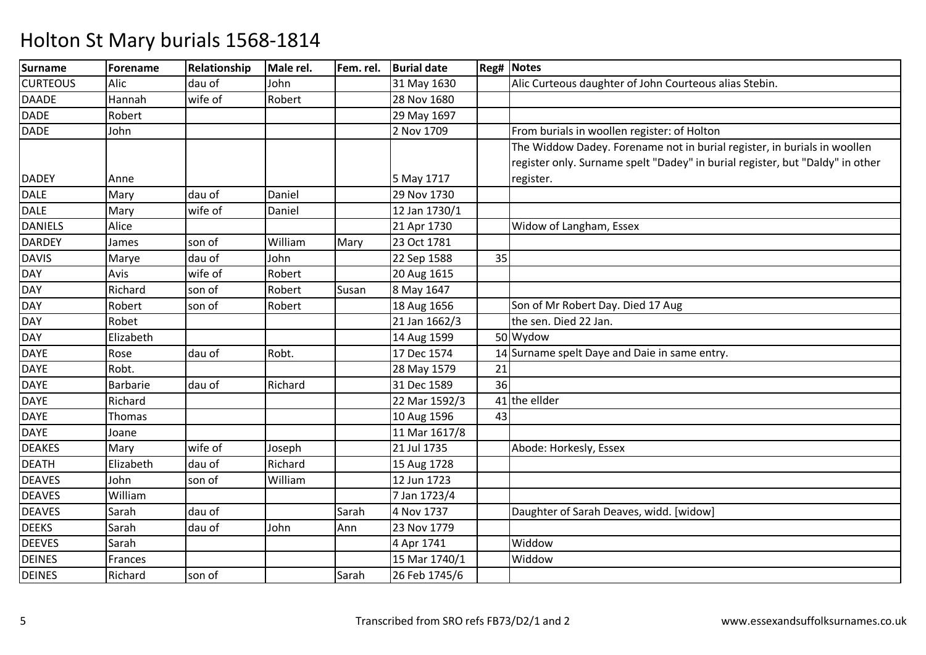| Surname         | <b>Forename</b> | Relationship | Male rel. | Fem. rel. | <b>Burial date</b> |    | <b>Reg# Notes</b>                                                             |
|-----------------|-----------------|--------------|-----------|-----------|--------------------|----|-------------------------------------------------------------------------------|
| <b>CURTEOUS</b> | Alic            | dau of       | John      |           | 31 May 1630        |    | Alic Curteous daughter of John Courteous alias Stebin.                        |
| <b>DAADE</b>    | Hannah          | wife of      | Robert    |           | 28 Nov 1680        |    |                                                                               |
| DADE            | Robert          |              |           |           | 29 May 1697        |    |                                                                               |
| DADE            | John            |              |           |           | 2 Nov 1709         |    | From burials in woollen register: of Holton                                   |
|                 |                 |              |           |           |                    |    | The Widdow Dadey. Forename not in burial register, in burials in woollen      |
|                 |                 |              |           |           |                    |    | register only. Surname spelt "Dadey" in burial register, but "Daldy" in other |
| <b>DADEY</b>    | Anne            |              |           |           | 5 May 1717         |    | register.                                                                     |
| <b>DALE</b>     | Mary            | dau of       | Daniel    |           | 29 Nov 1730        |    |                                                                               |
| <b>DALE</b>     | Mary            | wife of      | Daniel    |           | 12 Jan 1730/1      |    |                                                                               |
| <b>DANIELS</b>  | Alice           |              |           |           | 21 Apr 1730        |    | Widow of Langham, Essex                                                       |
| <b>DARDEY</b>   | James           | son of       | William   | Mary      | 23 Oct 1781        |    |                                                                               |
| <b>DAVIS</b>    | Marye           | dau of       | John      |           | 22 Sep 1588        | 35 |                                                                               |
| <b>DAY</b>      | Avis            | wife of      | Robert    |           | 20 Aug 1615        |    |                                                                               |
| <b>DAY</b>      | Richard         | son of       | Robert    | Susan     | 8 May 1647         |    |                                                                               |
| <b>DAY</b>      | Robert          | son of       | Robert    |           | 18 Aug 1656        |    | Son of Mr Robert Day. Died 17 Aug                                             |
| <b>DAY</b>      | Robet           |              |           |           | 21 Jan 1662/3      |    | the sen. Died 22 Jan.                                                         |
| <b>DAY</b>      | Elizabeth       |              |           |           | 14 Aug 1599        |    | 50 Wydow                                                                      |
| <b>DAYE</b>     | Rose            | dau of       | Robt.     |           | 17 Dec 1574        |    | 14 Surname spelt Daye and Daie in same entry.                                 |
| <b>DAYE</b>     | Robt.           |              |           |           | 28 May 1579        | 21 |                                                                               |
| <b>DAYE</b>     | <b>Barbarie</b> | dau of       | Richard   |           | 31 Dec 1589        | 36 |                                                                               |
| <b>DAYE</b>     | Richard         |              |           |           | 22 Mar 1592/3      |    | 41 the ellder                                                                 |
| <b>DAYE</b>     | Thomas          |              |           |           | 10 Aug 1596        | 43 |                                                                               |
| <b>DAYE</b>     | Joane           |              |           |           | 11 Mar 1617/8      |    |                                                                               |
| <b>DEAKES</b>   | Mary            | wife of      | Joseph    |           | 21 Jul 1735        |    | Abode: Horkesly, Essex                                                        |
| <b>DEATH</b>    | Elizabeth       | dau of       | Richard   |           | 15 Aug 1728        |    |                                                                               |
| <b>DEAVES</b>   | John            | son of       | William   |           | 12 Jun 1723        |    |                                                                               |
| <b>DEAVES</b>   | William         |              |           |           | 7 Jan 1723/4       |    |                                                                               |
| <b>DEAVES</b>   | Sarah           | dau of       |           | Sarah     | 4 Nov 1737         |    | Daughter of Sarah Deaves, widd. [widow]                                       |
| <b>DEEKS</b>    | Sarah           | dau of       | John      | Ann       | 23 Nov 1779        |    |                                                                               |
| <b>DEEVES</b>   | Sarah           |              |           |           | 4 Apr 1741         |    | Widdow                                                                        |
| <b>DEINES</b>   | Frances         |              |           |           | 15 Mar 1740/1      |    | Widdow                                                                        |
| <b>DEINES</b>   | Richard         | son of       |           | Sarah     | 26 Feb 1745/6      |    |                                                                               |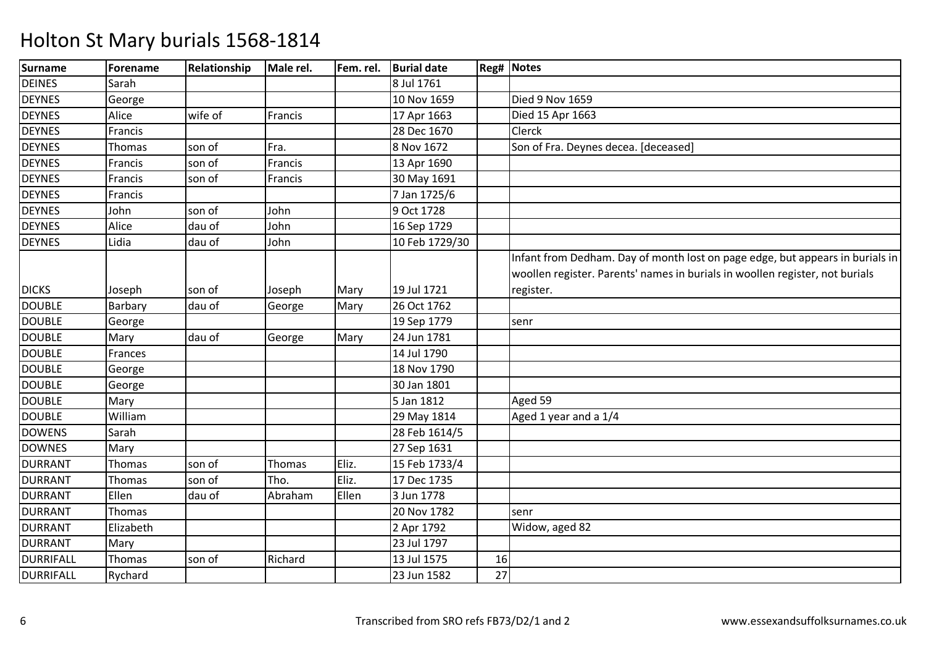| <b>Surname</b>   | Forename      | Relationship | Male rel. | Fem. rel. | <b>Burial date</b> |    | Reg# Notes                                                                                                                                                                 |
|------------------|---------------|--------------|-----------|-----------|--------------------|----|----------------------------------------------------------------------------------------------------------------------------------------------------------------------------|
| <b>DEINES</b>    | Sarah         |              |           |           | 8 Jul 1761         |    |                                                                                                                                                                            |
| <b>DEYNES</b>    | George        |              |           |           | 10 Nov 1659        |    | Died 9 Nov 1659                                                                                                                                                            |
| <b>DEYNES</b>    | Alice         | wife of      | Francis   |           | 17 Apr 1663        |    | Died 15 Apr 1663                                                                                                                                                           |
| <b>DEYNES</b>    | Francis       |              |           |           | 28 Dec 1670        |    | Clerck                                                                                                                                                                     |
| <b>DEYNES</b>    | <b>Thomas</b> | son of       | Fra.      |           | 8 Nov 1672         |    | Son of Fra. Deynes decea. [deceased]                                                                                                                                       |
| <b>DEYNES</b>    | Francis       | son of       | Francis   |           | 13 Apr 1690        |    |                                                                                                                                                                            |
| <b>DEYNES</b>    | Francis       | son of       | Francis   |           | 30 May 1691        |    |                                                                                                                                                                            |
| <b>DEYNES</b>    | Francis       |              |           |           | 7 Jan 1725/6       |    |                                                                                                                                                                            |
| <b>DEYNES</b>    | John          | son of       | John      |           | 9 Oct 1728         |    |                                                                                                                                                                            |
| <b>DEYNES</b>    | Alice         | dau of       | John      |           | 16 Sep 1729        |    |                                                                                                                                                                            |
| <b>DEYNES</b>    | Lidia         | dau of       | John      |           | 10 Feb 1729/30     |    |                                                                                                                                                                            |
| <b>DICKS</b>     | Joseph        | son of       | Joseph    | Mary      | 19 Jul 1721        |    | Infant from Dedham. Day of month lost on page edge, but appears in burials in<br>woollen register. Parents' names in burials in woollen register, not burials<br>register. |
| <b>DOUBLE</b>    | Barbary       | dau of       | George    | Mary      | 26 Oct 1762        |    |                                                                                                                                                                            |
| <b>DOUBLE</b>    | George        |              |           |           | 19 Sep 1779        |    | senr                                                                                                                                                                       |
| <b>DOUBLE</b>    | Mary          | dau of       | George    | Mary      | 24 Jun 1781        |    |                                                                                                                                                                            |
| <b>DOUBLE</b>    | Frances       |              |           |           | 14 Jul 1790        |    |                                                                                                                                                                            |
| <b>DOUBLE</b>    | George        |              |           |           | 18 Nov 1790        |    |                                                                                                                                                                            |
| <b>DOUBLE</b>    | George        |              |           |           | 30 Jan 1801        |    |                                                                                                                                                                            |
| <b>DOUBLE</b>    | Mary          |              |           |           | 5 Jan 1812         |    | Aged 59                                                                                                                                                                    |
| <b>DOUBLE</b>    | William       |              |           |           | 29 May 1814        |    | Aged 1 year and a $\overline{1/4}$                                                                                                                                         |
| <b>DOWENS</b>    | Sarah         |              |           |           | 28 Feb 1614/5      |    |                                                                                                                                                                            |
| <b>DOWNES</b>    | Mary          |              |           |           | 27 Sep 1631        |    |                                                                                                                                                                            |
| <b>DURRANT</b>   | Thomas        | son of       | Thomas    | Eliz.     | 15 Feb 1733/4      |    |                                                                                                                                                                            |
| <b>DURRANT</b>   | <b>Thomas</b> | son of       | Tho.      | Eliz.     | 17 Dec 1735        |    |                                                                                                                                                                            |
| <b>DURRANT</b>   | Ellen         | dau of       | Abraham   | Ellen     | 3 Jun 1778         |    |                                                                                                                                                                            |
| <b>DURRANT</b>   | Thomas        |              |           |           | 20 Nov 1782        |    | senr                                                                                                                                                                       |
| <b>DURRANT</b>   | Elizabeth     |              |           |           | 2 Apr 1792         |    | Widow, aged 82                                                                                                                                                             |
| <b>DURRANT</b>   | Mary          |              |           |           | 23 Jul 1797        |    |                                                                                                                                                                            |
| <b>DURRIFALL</b> | <b>Thomas</b> | son of       | Richard   |           | 13 Jul 1575        | 16 |                                                                                                                                                                            |
| <b>DURRIFALL</b> | Rychard       |              |           |           | 23 Jun 1582        | 27 |                                                                                                                                                                            |
|                  |               |              |           |           |                    |    |                                                                                                                                                                            |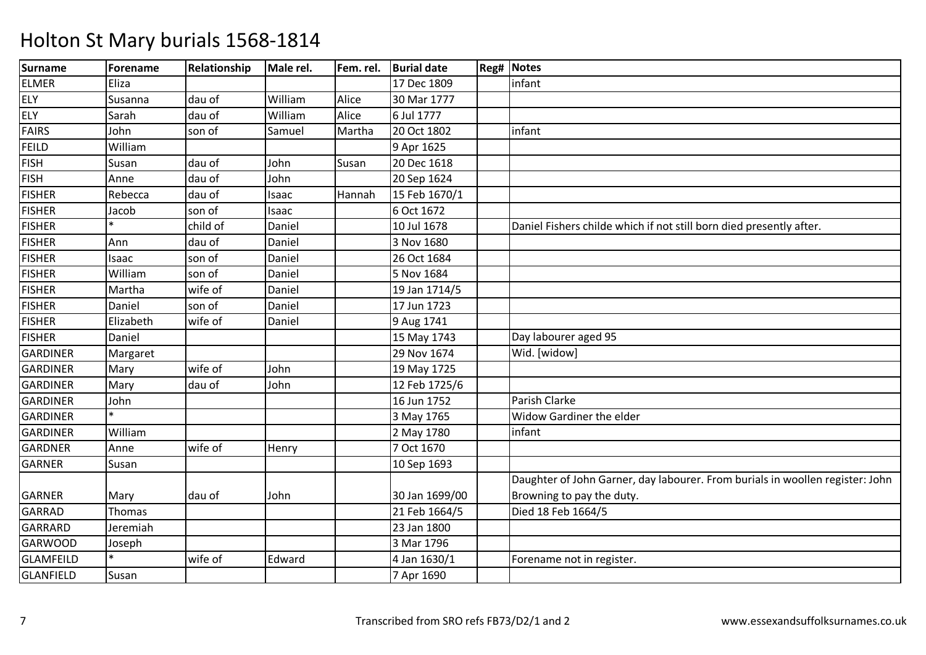| Surname          | Forename  | Relationship | Male rel. | Fem. rel. | <b>Burial date</b> | <b>Reg# Notes</b>                                                             |
|------------------|-----------|--------------|-----------|-----------|--------------------|-------------------------------------------------------------------------------|
| <b>ELMER</b>     | Eliza     |              |           |           | 17 Dec 1809        | infant                                                                        |
| <b>ELY</b>       | Susanna   | dau of       | William   | Alice     | 30 Mar 1777        |                                                                               |
| ELY              | Sarah     | dau of       | William   | Alice     | 6 Jul 1777         |                                                                               |
| <b>FAIRS</b>     | John      | son of       | Samuel    | Martha    | 20 Oct 1802        | infant                                                                        |
| <b>FEILD</b>     | William   |              |           |           | 9 Apr 1625         |                                                                               |
| <b>FISH</b>      | Susan     | dau of       | John      | Susan     | 20 Dec 1618        |                                                                               |
| <b>FISH</b>      | Anne      | dau of       | John      |           | 20 Sep 1624        |                                                                               |
| <b>FISHER</b>    | Rebecca   | dau of       | Isaac     | Hannah    | 15 Feb 1670/1      |                                                                               |
| <b>FISHER</b>    | Jacob     | son of       | Isaac     |           | 6 Oct 1672         |                                                                               |
| <b>FISHER</b>    |           | child of     | Daniel    |           | 10 Jul 1678        | Daniel Fishers childe which if not still born died presently after.           |
| <b>FISHER</b>    | Ann       | dau of       | Daniel    |           | 3 Nov 1680         |                                                                               |
| <b>FISHER</b>    | Isaac     | son of       | Daniel    |           | 26 Oct 1684        |                                                                               |
| <b>FISHER</b>    | William   | son of       | Daniel    |           | 5 Nov 1684         |                                                                               |
| <b>FISHER</b>    | Martha    | wife of      | Daniel    |           | 19 Jan 1714/5      |                                                                               |
| <b>FISHER</b>    | Daniel    | son of       | Daniel    |           | 17 Jun 1723        |                                                                               |
| <b>FISHER</b>    | Elizabeth | wife of      | Daniel    |           | 9 Aug 1741         |                                                                               |
| <b>FISHER</b>    | Daniel    |              |           |           | 15 May 1743        | Day labourer aged 95                                                          |
| <b>GARDINER</b>  | Margaret  |              |           |           | 29 Nov 1674        | Wid. [widow]                                                                  |
| <b>GARDINER</b>  | Mary      | wife of      | John      |           | 19 May 1725        |                                                                               |
| <b>GARDINER</b>  | Mary      | dau of       | John      |           | 12 Feb 1725/6      |                                                                               |
| <b>GARDINER</b>  | John      |              |           |           | 16 Jun 1752        | Parish Clarke                                                                 |
| <b>GARDINER</b>  |           |              |           |           | 3 May 1765         | Widow Gardiner the elder                                                      |
| <b>GARDINER</b>  | William   |              |           |           | 2 May 1780         | infant                                                                        |
| <b>GARDNER</b>   | Anne      | wife of      | Henry     |           | 7 Oct 1670         |                                                                               |
| <b>GARNER</b>    | Susan     |              |           |           | 10 Sep 1693        |                                                                               |
|                  |           |              |           |           |                    | Daughter of John Garner, day labourer. From burials in woollen register: John |
| <b>GARNER</b>    | Mary      | dau of       | John      |           | 30 Jan 1699/00     | Browning to pay the duty.                                                     |
| <b>GARRAD</b>    | Thomas    |              |           |           | 21 Feb 1664/5      | Died 18 Feb 1664/5                                                            |
| GARRARD          | Jeremiah  |              |           |           | 23 Jan 1800        |                                                                               |
| <b>GARWOOD</b>   | Joseph    |              |           |           | 3 Mar 1796         |                                                                               |
| <b>GLAMFEILD</b> |           | wife of      | Edward    |           | 4 Jan 1630/1       | Forename not in register.                                                     |
| <b>GLANFIELD</b> | Susan     |              |           |           | 7 Apr 1690         |                                                                               |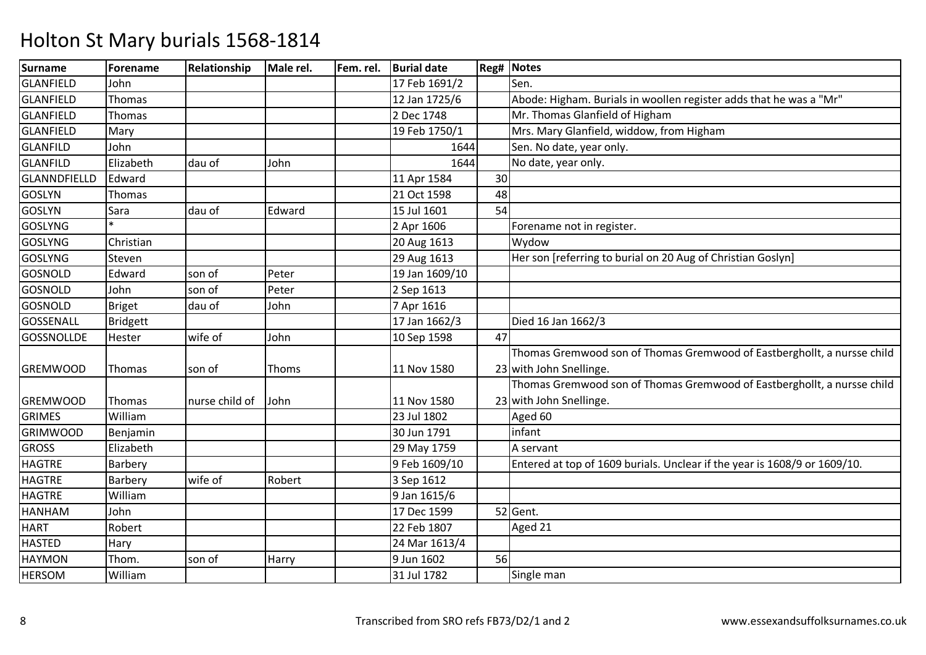| <b>Surname</b>    | <b>Forename</b> | Relationship   | Male rel. | Fem. rel. | <b>Burial date</b> |    | <b>Reg# Notes</b>                                                         |
|-------------------|-----------------|----------------|-----------|-----------|--------------------|----|---------------------------------------------------------------------------|
| <b>GLANFIELD</b>  | John            |                |           |           | 17 Feb 1691/2      |    | Sen.                                                                      |
| GLANFIELD         | <b>Thomas</b>   |                |           |           | 12 Jan 1725/6      |    | Abode: Higham. Burials in woollen register adds that he was a "Mr"        |
| GLANFIELD         | Thomas          |                |           |           | 2 Dec 1748         |    | Mr. Thomas Glanfield of Higham                                            |
| <b>GLANFIELD</b>  | Mary            |                |           |           | 19 Feb 1750/1      |    | Mrs. Mary Glanfield, widdow, from Higham                                  |
| <b>GLANFILD</b>   | John            |                |           |           | 1644               |    | Sen. No date, year only.                                                  |
| <b>GLANFILD</b>   | Elizabeth       | dau of         | John      |           | 1644               |    | No date, year only.                                                       |
| GLANNDFIELLD      | Edward          |                |           |           | 11 Apr 1584        | 30 |                                                                           |
| <b>GOSLYN</b>     | Thomas          |                |           |           | 21 Oct 1598        | 48 |                                                                           |
| <b>GOSLYN</b>     | Sara            | dau of         | Edward    |           | 15 Jul 1601        | 54 |                                                                           |
| <b>GOSLYNG</b>    |                 |                |           |           | 2 Apr 1606         |    | Forename not in register.                                                 |
| <b>GOSLYNG</b>    | Christian       |                |           |           | 20 Aug 1613        |    | Wydow                                                                     |
| <b>GOSLYNG</b>    | Steven          |                |           |           | 29 Aug 1613        |    | Her son [referring to burial on 20 Aug of Christian Goslyn]               |
| <b>GOSNOLD</b>    | Edward          | son of         | Peter     |           | 19 Jan 1609/10     |    |                                                                           |
| GOSNOLD           | John            | son of         | Peter     |           | 2 Sep 1613         |    |                                                                           |
| GOSNOLD           | Briget          | dau of         | John      |           | 7 Apr 1616         |    |                                                                           |
| GOSSENALL         | <b>Bridgett</b> |                |           |           | 17 Jan 1662/3      |    | Died 16 Jan 1662/3                                                        |
| <b>GOSSNOLLDE</b> | Hester          | wife of        | John      |           | 10 Sep 1598        | 47 |                                                                           |
|                   |                 |                |           |           |                    |    | Thomas Gremwood son of Thomas Gremwood of Eastberghollt, a nursse child   |
| <b>GREMWOOD</b>   | Thomas          | son of         | Thoms     |           | 11 Nov 1580        |    | 23 with John Snellinge.                                                   |
|                   |                 |                |           |           |                    |    | Thomas Gremwood son of Thomas Gremwood of Eastberghollt, a nursse child   |
| <b>GREMWOOD</b>   | Thomas          | nurse child of | John      |           | 11 Nov 1580        |    | 23 with John Snellinge.                                                   |
| <b>GRIMES</b>     | William         |                |           |           | 23 Jul 1802        |    | Aged 60                                                                   |
| <b>GRIMWOOD</b>   | Benjamin        |                |           |           | 30 Jun 1791        |    | infant                                                                    |
| <b>GROSS</b>      | Elizabeth       |                |           |           | 29 May 1759        |    | A servant                                                                 |
| <b>HAGTRE</b>     | Barbery         |                |           |           | 9 Feb 1609/10      |    | Entered at top of 1609 burials. Unclear if the year is 1608/9 or 1609/10. |
| <b>HAGTRE</b>     | Barbery         | wife of        | Robert    |           | 3 Sep 1612         |    |                                                                           |
| <b>HAGTRE</b>     | William         |                |           |           | 9 Jan 1615/6       |    |                                                                           |
| HANHAM            | John            |                |           |           | 17 Dec 1599        |    | 52 Gent.                                                                  |
| <b>HART</b>       | Robert          |                |           |           | 22 Feb 1807        |    | Aged 21                                                                   |
| <b>HASTED</b>     | Hary            |                |           |           | 24 Mar 1613/4      |    |                                                                           |
| <b>HAYMON</b>     | Thom.           | son of         | Harry     |           | 9 Jun 1602         | 56 |                                                                           |
| <b>HERSOM</b>     | William         |                |           |           | 31 Jul 1782        |    | Single man                                                                |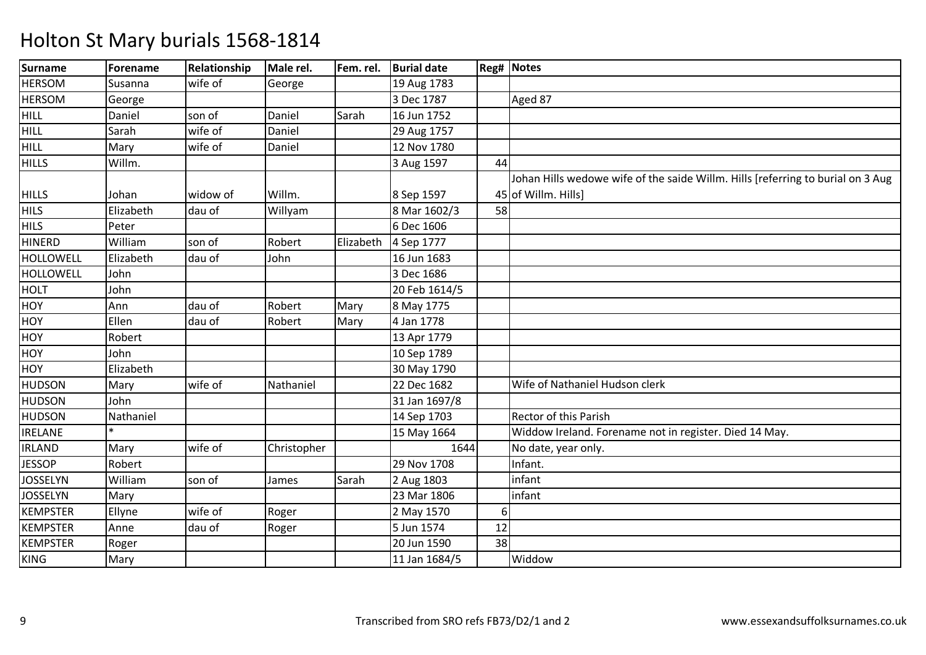| <b>Surname</b>   | Forename  | Relationship | Male rel.   | Fem. rel. | <b>Burial date</b> |    | <b>Reg# Notes</b>                                                               |
|------------------|-----------|--------------|-------------|-----------|--------------------|----|---------------------------------------------------------------------------------|
| <b>HERSOM</b>    | Susanna   | wife of      | George      |           | 19 Aug 1783        |    |                                                                                 |
| <b>HERSOM</b>    | George    |              |             |           | 3 Dec 1787         |    | Aged 87                                                                         |
| <b>HILL</b>      | Daniel    | son of       | Daniel      | Sarah     | 16 Jun 1752        |    |                                                                                 |
| <b>HILL</b>      | Sarah     | wife of      | Daniel      |           | 29 Aug 1757        |    |                                                                                 |
| <b>HILL</b>      | Mary      | wife of      | Daniel      |           | 12 Nov 1780        |    |                                                                                 |
| <b>HILLS</b>     | Willm.    |              |             |           | 3 Aug 1597         | 44 |                                                                                 |
|                  |           |              |             |           |                    |    | Johan Hills wedowe wife of the saide Willm. Hills [referring to burial on 3 Aug |
| <b>HILLS</b>     | Johan     | widow of     | Willm.      |           | 8 Sep 1597         |    | 45 of Willm. Hills]                                                             |
| <b>HILS</b>      | Elizabeth | dau of       | Willyam     |           | 8 Mar 1602/3       | 58 |                                                                                 |
| <b>HILS</b>      | Peter     |              |             |           | 6 Dec 1606         |    |                                                                                 |
| <b>HINERD</b>    | William   | son of       | Robert      | Elizabeth | 4 Sep 1777         |    |                                                                                 |
| <b>HOLLOWELL</b> | Elizabeth | dau of       | John        |           | 16 Jun 1683        |    |                                                                                 |
| <b>HOLLOWELL</b> | John      |              |             |           | 3 Dec 1686         |    |                                                                                 |
| <b>HOLT</b>      | John      |              |             |           | 20 Feb 1614/5      |    |                                                                                 |
| HOY              | Ann       | dau of       | Robert      | Mary      | 8 May 1775         |    |                                                                                 |
| <b>HOY</b>       | Ellen     | dau of       | Robert      | Mary      | 4 Jan 1778         |    |                                                                                 |
| HOY              | Robert    |              |             |           | 13 Apr 1779        |    |                                                                                 |
| <b>HOY</b>       | John      |              |             |           | 10 Sep 1789        |    |                                                                                 |
| HOY              | Elizabeth |              |             |           | 30 May 1790        |    |                                                                                 |
| <b>HUDSON</b>    | Mary      | wife of      | Nathaniel   |           | 22 Dec 1682        |    | Wife of Nathaniel Hudson clerk                                                  |
| <b>HUDSON</b>    | John      |              |             |           | 31 Jan 1697/8      |    |                                                                                 |
| <b>HUDSON</b>    | Nathaniel |              |             |           | 14 Sep 1703        |    | Rector of this Parish                                                           |
| <b>IRELANE</b>   |           |              |             |           | 15 May 1664        |    | Widdow Ireland. Forename not in register. Died 14 May.                          |
| <b>IRLAND</b>    | Mary      | wife of      | Christopher |           | 1644               |    | No date, year only.                                                             |
| <b>JESSOP</b>    | Robert    |              |             |           | 29 Nov 1708        |    | Infant.                                                                         |
| <b>JOSSELYN</b>  | William   | son of       | James       | Sarah     | 2 Aug 1803         |    | infant                                                                          |
| <b>JOSSELYN</b>  | Mary      |              |             |           | 23 Mar 1806        |    | infant                                                                          |
| <b>KEMPSTER</b>  | Ellyne    | wife of      | Roger       |           | 2 May 1570         | 6  |                                                                                 |
| <b>KEMPSTER</b>  | Anne      | dau of       | Roger       |           | 5 Jun 1574         | 12 |                                                                                 |
| <b>KEMPSTER</b>  | Roger     |              |             |           | 20 Jun 1590        | 38 |                                                                                 |
| <b>KING</b>      | Mary      |              |             |           | 11 Jan 1684/5      |    | Widdow                                                                          |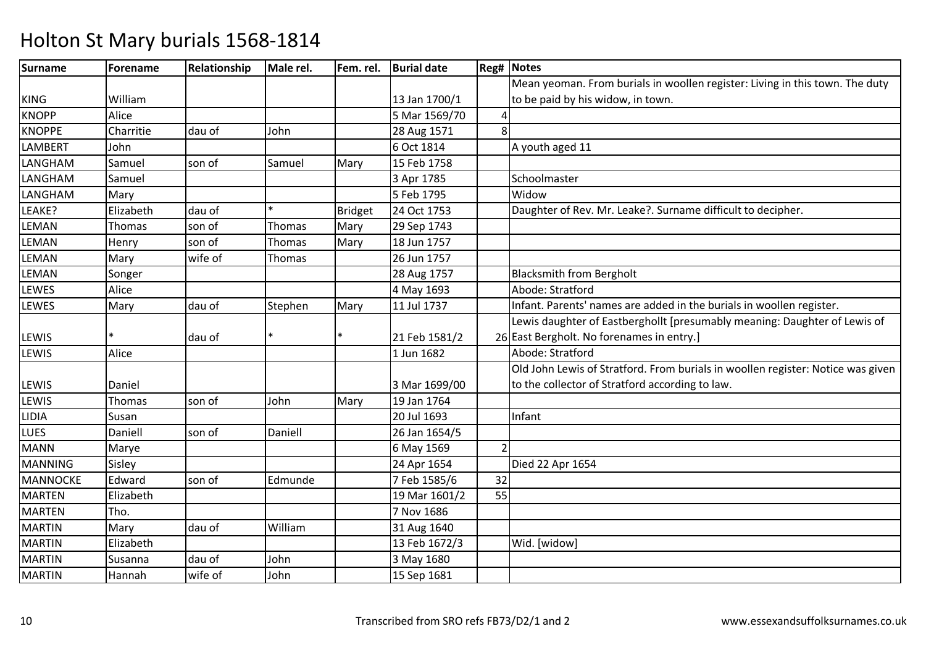| <b>Surname</b>  | Forename  | Relationship | Male rel.     | Fem. rel. | <b>Burial date</b> |    | <b>Reg# Notes</b>                                                               |
|-----------------|-----------|--------------|---------------|-----------|--------------------|----|---------------------------------------------------------------------------------|
|                 |           |              |               |           |                    |    | Mean yeoman. From burials in woollen register: Living in this town. The duty    |
| <b>KING</b>     | William   |              |               |           | 13 Jan 1700/1      |    | to be paid by his widow, in town.                                               |
| <b>KNOPP</b>    | Alice     |              |               |           | 5 Mar 1569/70      |    |                                                                                 |
| <b>KNOPPE</b>   | Charritie | dau of       | John          |           | 28 Aug 1571        | 8  |                                                                                 |
| LAMBERT         | John      |              |               |           | 6 Oct 1814         |    | A youth aged 11                                                                 |
| LANGHAM         | Samuel    | son of       | Samuel        | Mary      | 15 Feb 1758        |    |                                                                                 |
| LANGHAM         | Samuel    |              |               |           | 3 Apr 1785         |    | Schoolmaster                                                                    |
| LANGHAM         | Mary      |              |               |           | 5 Feb 1795         |    | Widow                                                                           |
| LEAKE?          | Elizabeth | dau of       | $\ast$        | Bridget   | 24 Oct 1753        |    | Daughter of Rev. Mr. Leake?. Surname difficult to decipher.                     |
| LEMAN           | Thomas    | son of       | <b>Thomas</b> | Mary      | 29 Sep 1743        |    |                                                                                 |
| LEMAN           | Henry     | son of       | Thomas        | Mary      | 18 Jun 1757        |    |                                                                                 |
| LEMAN           | Mary      | wife of      | <b>Thomas</b> |           | 26 Jun 1757        |    |                                                                                 |
| LEMAN           | Songer    |              |               |           | 28 Aug 1757        |    | <b>Blacksmith from Bergholt</b>                                                 |
| LEWES           | Alice     |              |               |           | 4 May 1693         |    | Abode: Stratford                                                                |
| LEWES           | Mary      | dau of       | Stephen       | Mary      | 11 Jul 1737        |    | Infant. Parents' names are added in the burials in woollen register.            |
|                 |           |              |               |           |                    |    | Lewis daughter of Eastberghollt [presumably meaning: Daughter of Lewis of       |
| LEWIS           |           | dau of       |               |           | 21 Feb 1581/2      |    | 26 East Bergholt. No forenames in entry.]                                       |
| LEWIS           | Alice     |              |               |           | 1 Jun 1682         |    | Abode: Stratford                                                                |
|                 |           |              |               |           |                    |    | Old John Lewis of Stratford. From burials in woollen register: Notice was given |
| LEWIS           | Daniel    |              |               |           | 3 Mar 1699/00      |    | to the collector of Stratford according to law.                                 |
| LEWIS           | Thomas    | son of       | John          | Mary      | 19 Jan 1764        |    |                                                                                 |
| <b>LIDIA</b>    | Susan     |              |               |           | 20 Jul 1693        |    | Infant                                                                          |
| <b>LUES</b>     | Daniell   | son of       | Daniell       |           | 26 Jan 1654/5      |    |                                                                                 |
| <b>MANN</b>     | Marye     |              |               |           | 6 May 1569         |    |                                                                                 |
| <b>MANNING</b>  | Sisley    |              |               |           | 24 Apr 1654        |    | Died 22 Apr 1654                                                                |
| <b>MANNOCKE</b> | Edward    | son of       | Edmunde       |           | 7 Feb 1585/6       | 32 |                                                                                 |
| <b>MARTEN</b>   | Elizabeth |              |               |           | 19 Mar 1601/2      | 55 |                                                                                 |
| <b>MARTEN</b>   | Tho.      |              |               |           | 7 Nov 1686         |    |                                                                                 |
| <b>MARTIN</b>   | Mary      | dau of       | William       |           | 31 Aug 1640        |    |                                                                                 |
| <b>MARTIN</b>   | Elizabeth |              |               |           | 13 Feb 1672/3      |    | Wid. [widow]                                                                    |
| <b>MARTIN</b>   | Susanna   | dau of       | John          |           | 3 May 1680         |    |                                                                                 |
| <b>MARTIN</b>   | Hannah    | wife of      | John          |           | 15 Sep 1681        |    |                                                                                 |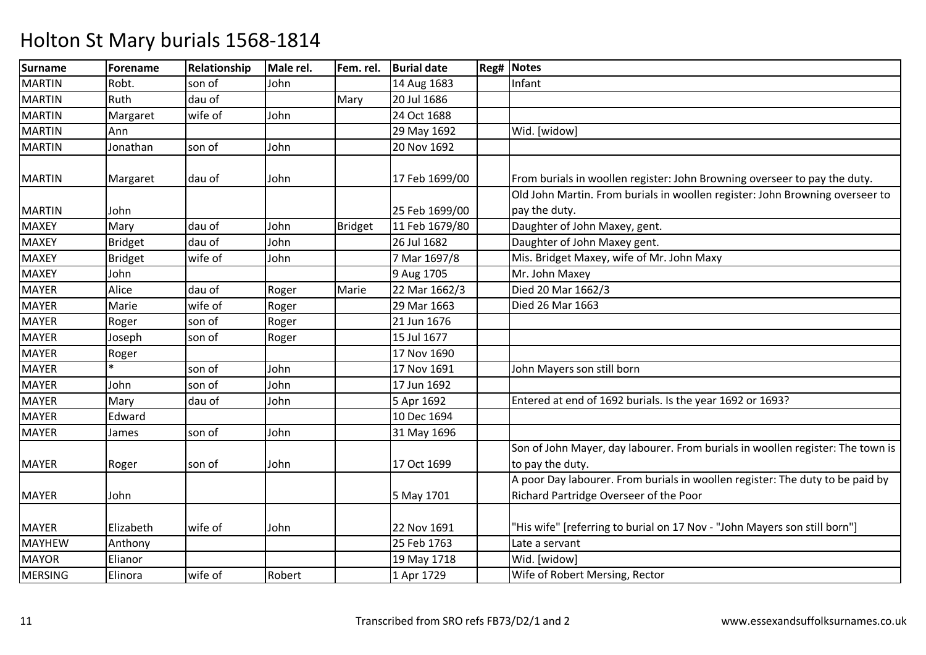| <b>Surname</b> | Forename       | Relationship | Male rel. | Fem. rel. | <b>Burial date</b> | <b>Reg# Notes</b>                                                                                                       |
|----------------|----------------|--------------|-----------|-----------|--------------------|-------------------------------------------------------------------------------------------------------------------------|
| <b>MARTIN</b>  | Robt.          | son of       | John      |           | 14 Aug 1683        | Infant                                                                                                                  |
| <b>MARTIN</b>  | Ruth           | dau of       |           | Mary      | 20 Jul 1686        |                                                                                                                         |
| <b>MARTIN</b>  | Margaret       | wife of      | John      |           | 24 Oct 1688        |                                                                                                                         |
| <b>MARTIN</b>  | Ann            |              |           |           | 29 May 1692        | Wid. [widow]                                                                                                            |
| <b>MARTIN</b>  | Jonathan       | son of       | John      |           | 20 Nov 1692        |                                                                                                                         |
| <b>MARTIN</b>  | Margaret       | dau of       | John      |           | 17 Feb 1699/00     | From burials in woollen register: John Browning overseer to pay the duty.                                               |
| <b>MARTIN</b>  | John           |              |           |           | 25 Feb 1699/00     | Old John Martin. From burials in woollen register: John Browning overseer to<br>pay the duty.                           |
| <b>MAXEY</b>   | Mary           | dau of       | John      | Bridget   | 11 Feb 1679/80     | Daughter of John Maxey, gent.                                                                                           |
| <b>MAXEY</b>   | <b>Bridget</b> | dau of       | John      |           | 26 Jul 1682        | Daughter of John Maxey gent.                                                                                            |
| <b>MAXEY</b>   | <b>Bridget</b> | wife of      | John      |           | 7 Mar 1697/8       | Mis. Bridget Maxey, wife of Mr. John Maxy                                                                               |
| <b>MAXEY</b>   | John           |              |           |           | 9 Aug 1705         | Mr. John Maxey                                                                                                          |
| <b>MAYER</b>   | Alice          | dau of       | Roger     | Marie     | 22 Mar 1662/3      | Died 20 Mar 1662/3                                                                                                      |
| <b>MAYER</b>   | Marie          | wife of      | Roger     |           | 29 Mar 1663        | Died 26 Mar 1663                                                                                                        |
| <b>MAYER</b>   | Roger          | son of       | Roger     |           | 21 Jun 1676        |                                                                                                                         |
| <b>MAYER</b>   | Joseph         | son of       | Roger     |           | 15 Jul 1677        |                                                                                                                         |
| <b>MAYER</b>   | Roger          |              |           |           | 17 Nov 1690        |                                                                                                                         |
| <b>MAYER</b>   |                | son of       | John      |           | 17 Nov 1691        | John Mayers son still born                                                                                              |
| <b>MAYER</b>   | John           | son of       | John      |           | 17 Jun 1692        |                                                                                                                         |
| <b>MAYER</b>   | Mary           | dau of       | John      |           | 5 Apr 1692         | Entered at end of 1692 burials. Is the year 1692 or 1693?                                                               |
| <b>MAYER</b>   | Edward         |              |           |           | 10 Dec 1694        |                                                                                                                         |
| <b>MAYER</b>   | James          | son of       | John      |           | 31 May 1696        |                                                                                                                         |
| <b>MAYER</b>   | Roger          | son of       | John      |           | 17 Oct 1699        | Son of John Mayer, day labourer. From burials in woollen register: The town is<br>to pay the duty.                      |
| <b>MAYER</b>   | John           |              |           |           | 5 May 1701         | A poor Day labourer. From burials in woollen register: The duty to be paid by<br>Richard Partridge Overseer of the Poor |
| <b>MAYER</b>   | Elizabeth      | wife of      | John      |           | 22 Nov 1691        | "His wife" [referring to burial on 17 Nov - "John Mayers son still born"]                                               |
| <b>MAYHEW</b>  | Anthony        |              |           |           | 25 Feb 1763        | Late a servant                                                                                                          |
| <b>MAYOR</b>   | Elianor        |              |           |           | 19 May 1718        | Wid. [widow]                                                                                                            |
| <b>MERSING</b> | Elinora        | wife of      | Robert    |           | 1 Apr 1729         | Wife of Robert Mersing, Rector                                                                                          |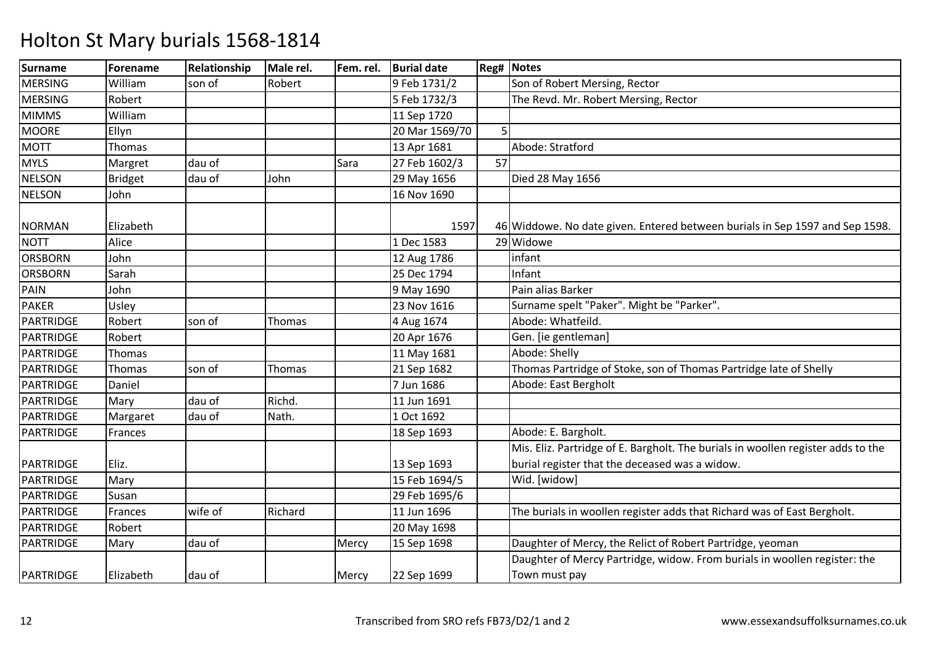| <b>Surname</b>   | Forename  | Relationship | Male rel. | Fem. rel. | <b>Burial date</b> |    | <b>Reg# Notes</b>                                                                |
|------------------|-----------|--------------|-----------|-----------|--------------------|----|----------------------------------------------------------------------------------|
| <b>MERSING</b>   | William   | son of       | Robert    |           | 9 Feb 1731/2       |    | Son of Robert Mersing, Rector                                                    |
| <b>MERSING</b>   | Robert    |              |           |           | 5 Feb 1732/3       |    | The Revd. Mr. Robert Mersing, Rector                                             |
| <b>MIMMS</b>     | William   |              |           |           | 11 Sep 1720        |    |                                                                                  |
| <b>MOORE</b>     | Ellyn     |              |           |           | 20 Mar 1569/70     |    |                                                                                  |
| <b>MOTT</b>      | Thomas    |              |           |           | 13 Apr 1681        |    | Abode: Stratford                                                                 |
| <b>MYLS</b>      | Margret   | dau of       |           | Sara      | 27 Feb 1602/3      | 57 |                                                                                  |
| <b>NELSON</b>    | Bridget   | dau of       | John      |           | 29 May 1656        |    | Died 28 May 1656                                                                 |
| <b>NELSON</b>    | John      |              |           |           | 16 Nov 1690        |    |                                                                                  |
| <b>NORMAN</b>    | Elizabeth |              |           |           | 1597               |    | 46 Widdowe. No date given. Entered between burials in Sep 1597 and Sep 1598.     |
| <b>NOTT</b>      | Alice     |              |           |           | 1 Dec 1583         |    | 29 Widowe                                                                        |
| <b>ORSBORN</b>   | John      |              |           |           | 12 Aug 1786        |    | infant                                                                           |
| <b>ORSBORN</b>   | Sarah     |              |           |           | 25 Dec 1794        |    | Infant                                                                           |
| PAIN             | John      |              |           |           | 9 May 1690         |    | Pain alias Barker                                                                |
| <b>PAKER</b>     | Usley     |              |           |           | 23 Nov 1616        |    | Surname spelt "Paker". Might be "Parker".                                        |
| <b>PARTRIDGE</b> | Robert    | son of       | Thomas    |           | 4 Aug 1674         |    | Abode: Whatfeild.                                                                |
| PARTRIDGE        | Robert    |              |           |           | 20 Apr 1676        |    | Gen. [ie gentleman]                                                              |
| PARTRIDGE        | Thomas    |              |           |           | 11 May 1681        |    | Abode: Shelly                                                                    |
| PARTRIDGE        | Thomas    | son of       | Thomas    |           | 21 Sep 1682        |    | Thomas Partridge of Stoke, son of Thomas Partridge late of Shelly                |
| PARTRIDGE        | Daniel    |              |           |           | 7 Jun 1686         |    | Abode: East Bergholt                                                             |
| PARTRIDGE        | Mary      | dau of       | Richd.    |           | 11 Jun 1691        |    |                                                                                  |
| PARTRIDGE        | Margaret  | dau of       | Nath.     |           | 1 Oct 1692         |    |                                                                                  |
| <b>PARTRIDGE</b> | Frances   |              |           |           | 18 Sep 1693        |    | Abode: E. Bargholt.                                                              |
|                  |           |              |           |           |                    |    | Mis. Eliz. Partridge of E. Bargholt. The burials in woollen register adds to the |
| PARTRIDGE        | Eliz.     |              |           |           | 13 Sep 1693        |    | burial register that the deceased was a widow.                                   |
| PARTRIDGE        | Mary      |              |           |           | 15 Feb 1694/5      |    | Wid. [widow]                                                                     |
| PARTRIDGE        | Susan     |              |           |           | 29 Feb 1695/6      |    |                                                                                  |
| PARTRIDGE        | Frances   | wife of      | Richard   |           | 11 Jun 1696        |    | The burials in woollen register adds that Richard was of East Bergholt.          |
| PARTRIDGE        | Robert    |              |           |           | 20 May 1698        |    |                                                                                  |
| <b>PARTRIDGE</b> | Mary      | dau of       |           | Mercy     | 15 Sep 1698        |    | Daughter of Mercy, the Relict of Robert Partridge, yeoman                        |
|                  |           |              |           |           |                    |    | Daughter of Mercy Partridge, widow. From burials in woollen register: the        |
| PARTRIDGE        | Elizabeth | dau of       |           | Mercy     | 22 Sep 1699        |    | Town must pay                                                                    |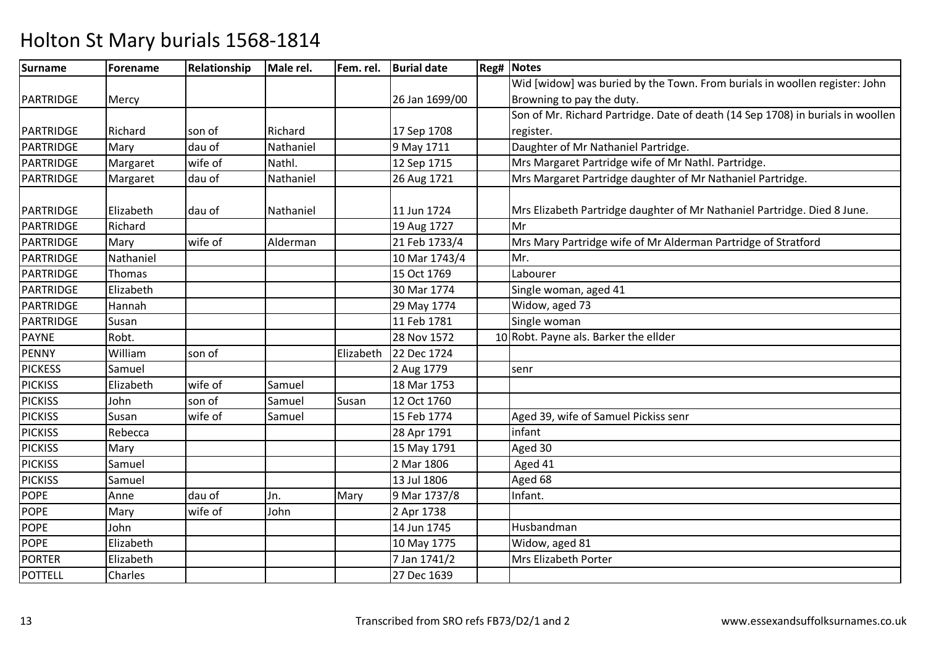| <b>Surname</b>   | Forename  | Relationship | Male rel. | Fem. rel. | <b>Burial date</b> | <b>Reg# Notes</b>                                                               |
|------------------|-----------|--------------|-----------|-----------|--------------------|---------------------------------------------------------------------------------|
|                  |           |              |           |           |                    | Wid [widow] was buried by the Town. From burials in woollen register: John      |
| PARTRIDGE        | Mercy     |              |           |           | 26 Jan 1699/00     | Browning to pay the duty.                                                       |
|                  |           |              |           |           |                    | Son of Mr. Richard Partridge. Date of death (14 Sep 1708) in burials in woollen |
| PARTRIDGE        | Richard   | son of       | Richard   |           | 17 Sep 1708        | register.                                                                       |
| PARTRIDGE        | Mary      | dau of       | Nathaniel |           | 9 May 1711         | Daughter of Mr Nathaniel Partridge.                                             |
| PARTRIDGE        | Margaret  | wife of      | Nathl.    |           | 12 Sep 1715        | Mrs Margaret Partridge wife of Mr Nathl. Partridge.                             |
| PARTRIDGE        | Margaret  | dau of       | Nathaniel |           | 26 Aug 1721        | Mrs Margaret Partridge daughter of Mr Nathaniel Partridge.                      |
| PARTRIDGE        | Elizabeth | dau of       | Nathaniel |           | 11 Jun 1724        | Mrs Elizabeth Partridge daughter of Mr Nathaniel Partridge. Died 8 June.        |
| PARTRIDGE        | Richard   |              |           |           | 19 Aug 1727        | Mr                                                                              |
| <b>PARTRIDGE</b> | Mary      | wife of      | Alderman  |           | 21 Feb 1733/4      | Mrs Mary Partridge wife of Mr Alderman Partridge of Stratford                   |
| PARTRIDGE        | Nathaniel |              |           |           | 10 Mar 1743/4      | Mr.                                                                             |
| PARTRIDGE        | Thomas    |              |           |           | 15 Oct 1769        | Labourer                                                                        |
| PARTRIDGE        | Elizabeth |              |           |           | 30 Mar 1774        | Single woman, aged 41                                                           |
| PARTRIDGE        | Hannah    |              |           |           | 29 May 1774        | Widow, aged 73                                                                  |
| <b>PARTRIDGE</b> | Susan     |              |           |           | 11 Feb 1781        | Single woman                                                                    |
| <b>PAYNE</b>     | Robt.     |              |           |           | 28 Nov 1572        | 10 Robt. Payne als. Barker the ellder                                           |
| <b>PENNY</b>     | William   | son of       |           | Elizabeth | 22 Dec 1724        |                                                                                 |
| <b>PICKESS</b>   | Samuel    |              |           |           | 2 Aug 1779         | senr                                                                            |
| <b>PICKISS</b>   | Elizabeth | wife of      | Samuel    |           | 18 Mar 1753        |                                                                                 |
| <b>PICKISS</b>   | John      | son of       | Samuel    | Susan     | 12 Oct 1760        |                                                                                 |
| <b>PICKISS</b>   | Susan     | wife of      | Samuel    |           | 15 Feb 1774        | Aged 39, wife of Samuel Pickiss senr                                            |
| <b>PICKISS</b>   | Rebecca   |              |           |           | 28 Apr 1791        | infant                                                                          |
| <b>PICKISS</b>   | Mary      |              |           |           | 15 May 1791        | Aged 30                                                                         |
| <b>PICKISS</b>   | Samuel    |              |           |           | 2 Mar 1806         | Aged 41                                                                         |
| <b>PICKISS</b>   | Samuel    |              |           |           | 13 Jul 1806        | Aged 68                                                                         |
| <b>POPE</b>      | Anne      | dau of       | Jn.       | Mary      | 9 Mar 1737/8       | Infant.                                                                         |
| <b>POPE</b>      | Mary      | wife of      | John      |           | 2 Apr 1738         |                                                                                 |
| <b>POPE</b>      | John      |              |           |           | 14 Jun 1745        | Husbandman                                                                      |
| <b>POPE</b>      | Elizabeth |              |           |           | 10 May 1775        | Widow, aged 81                                                                  |
| <b>PORTER</b>    | Elizabeth |              |           |           | 7 Jan 1741/2       | Mrs Elizabeth Porter                                                            |
| <b>POTTELL</b>   | Charles   |              |           |           | 27 Dec 1639        |                                                                                 |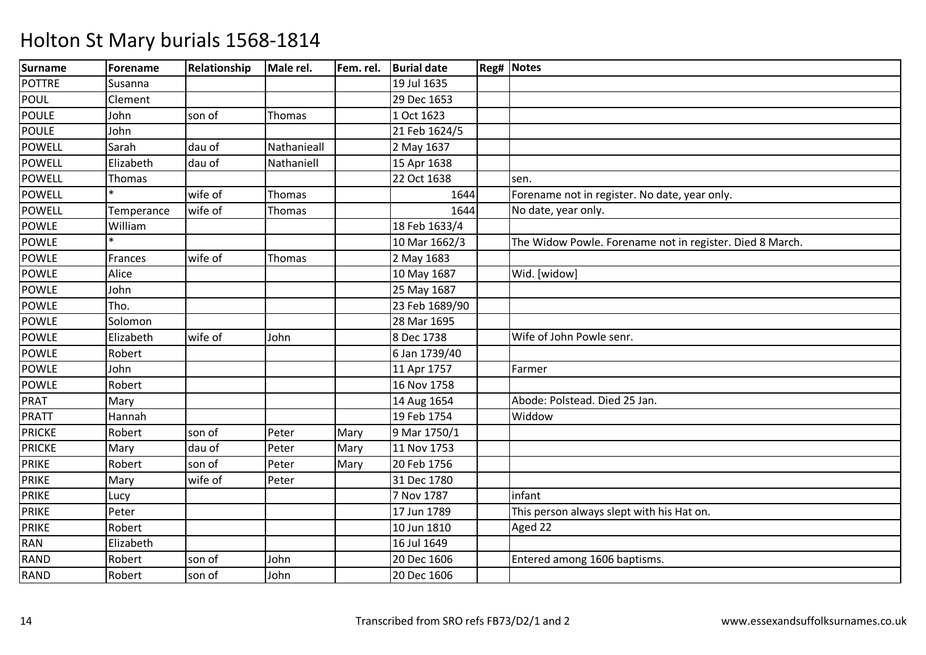| <b>Surname</b> | Forename   | <b>Relationship</b> | Male rel.   | Fem. rel. | <b>Burial date</b> | Reg# Notes                                               |
|----------------|------------|---------------------|-------------|-----------|--------------------|----------------------------------------------------------|
| <b>POTTRE</b>  | Susanna    |                     |             |           | 19 Jul 1635        |                                                          |
| <b>POUL</b>    | Clement    |                     |             |           | 29 Dec 1653        |                                                          |
| <b>POULE</b>   | John       | son of              | Thomas      |           | 1 Oct 1623         |                                                          |
| <b>POULE</b>   | John       |                     |             |           | 21 Feb 1624/5      |                                                          |
| <b>POWELL</b>  | Sarah      | dau of              | Nathanieall |           | 2 May 1637         |                                                          |
| <b>POWELL</b>  | Elizabeth  | dau of              | Nathaniell  |           | 15 Apr 1638        |                                                          |
| <b>POWELL</b>  | Thomas     |                     |             |           | 22 Oct 1638        | sen.                                                     |
| <b>POWELL</b>  |            | wife of             | Thomas      |           | 1644               | Forename not in register. No date, year only.            |
| <b>POWELL</b>  | Temperance | wife of             | Thomas      |           | 1644               | No date, year only.                                      |
| <b>POWLE</b>   | William    |                     |             |           | 18 Feb 1633/4      |                                                          |
| <b>POWLE</b>   |            |                     |             |           | 10 Mar 1662/3      | The Widow Powle. Forename not in register. Died 8 March. |
| <b>POWLE</b>   | Frances    | wife of             | Thomas      |           | 2 May 1683         |                                                          |
| <b>POWLE</b>   | Alice      |                     |             |           | 10 May 1687        | Wid. [widow]                                             |
| <b>POWLE</b>   | John       |                     |             |           | 25 May 1687        |                                                          |
| <b>POWLE</b>   | Tho.       |                     |             |           | 23 Feb 1689/90     |                                                          |
| <b>POWLE</b>   | Solomon    |                     |             |           | 28 Mar 1695        |                                                          |
| <b>POWLE</b>   | Elizabeth  | wife of             | John        |           | 8 Dec 1738         | Wife of John Powle senr.                                 |
| <b>POWLE</b>   | Robert     |                     |             |           | 6 Jan 1739/40      |                                                          |
| <b>POWLE</b>   | John       |                     |             |           | 11 Apr 1757        | Farmer                                                   |
| <b>POWLE</b>   | Robert     |                     |             |           | 16 Nov 1758        |                                                          |
| PRAT           | Mary       |                     |             |           | 14 Aug 1654        | Abode: Polstead. Died 25 Jan.                            |
| PRATT          | Hannah     |                     |             |           | 19 Feb 1754        | Widdow                                                   |
| <b>PRICKE</b>  | Robert     | son of              | Peter       | Mary      | 9 Mar 1750/1       |                                                          |
| <b>PRICKE</b>  | Mary       | dau of              | Peter       | Mary      | 11 Nov 1753        |                                                          |
| <b>PRIKE</b>   | Robert     | son of              | Peter       | Mary      | 20 Feb 1756        |                                                          |
| <b>PRIKE</b>   | Mary       | wife of             | Peter       |           | 31 Dec 1780        |                                                          |
| <b>PRIKE</b>   | Lucy       |                     |             |           | 7 Nov 1787         | infant                                                   |
| <b>PRIKE</b>   | Peter      |                     |             |           | 17 Jun 1789        | This person always slept with his Hat on.                |
| <b>PRIKE</b>   | Robert     |                     |             |           | 10 Jun 1810        | Aged 22                                                  |
| RAN            | Elizabeth  |                     |             |           | 16 Jul 1649        |                                                          |
| RAND           | Robert     | son of              | John        |           | 20 Dec 1606        | Entered among 1606 baptisms.                             |
| RAND           | Robert     | son of              | John        |           | 20 Dec 1606        |                                                          |
|                |            |                     |             |           |                    |                                                          |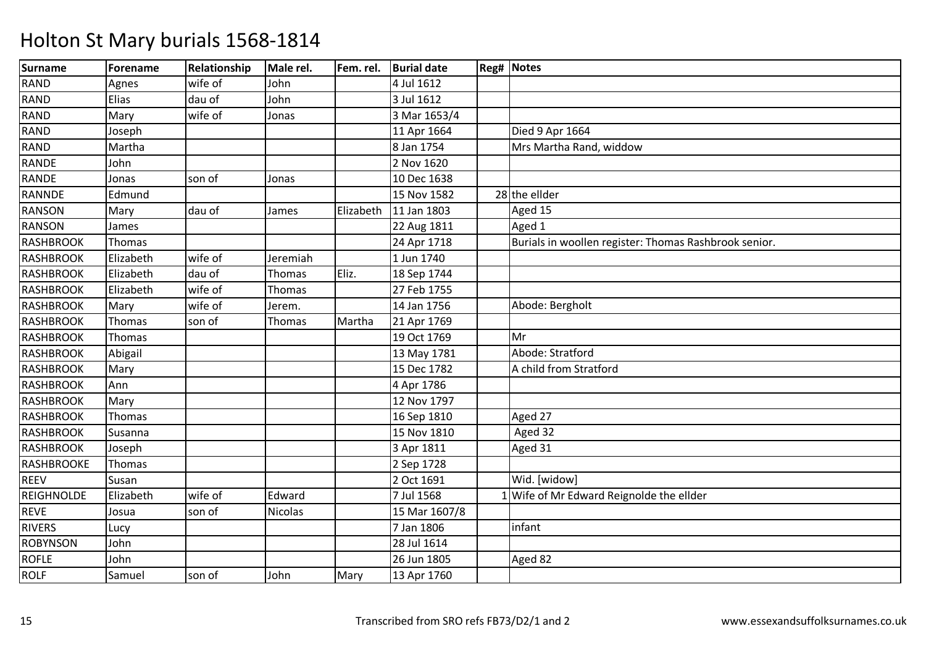| <b>Surname</b>    | Forename  | Relationship | Male rel. | Fem. rel. | <b>Burial date</b> | <b>Reg# Notes</b>                                     |
|-------------------|-----------|--------------|-----------|-----------|--------------------|-------------------------------------------------------|
| <b>RAND</b>       | Agnes     | wife of      | John      |           | 4 Jul 1612         |                                                       |
| RAND              | Elias     | dau of       | John      |           | 3 Jul 1612         |                                                       |
| <b>RAND</b>       | Mary      | wife of      | Jonas     |           | 3 Mar 1653/4       |                                                       |
| RAND              | Joseph    |              |           |           | 11 Apr 1664        | Died 9 Apr 1664                                       |
| <b>RAND</b>       | Martha    |              |           |           | 8 Jan 1754         | Mrs Martha Rand, widdow                               |
| RANDE             | John      |              |           |           | 2 Nov 1620         |                                                       |
| <b>RANDE</b>      | Jonas     | son of       | Jonas     |           | 10 Dec 1638        |                                                       |
| RANNDE            | Edmund    |              |           |           | 15 Nov 1582        | 28 the ellder                                         |
| <b>RANSON</b>     | Mary      | dau of       | James     | Elizabeth | 11 Jan 1803        | Aged 15                                               |
| <b>RANSON</b>     | James     |              |           |           | 22 Aug 1811        | Aged 1                                                |
| <b>RASHBROOK</b>  | Thomas    |              |           |           | 24 Apr 1718        | Burials in woollen register: Thomas Rashbrook senior. |
| <b>RASHBROOK</b>  | Elizabeth | wife of      | Jeremiah  |           | 1 Jun 1740         |                                                       |
| <b>RASHBROOK</b>  | Elizabeth | dau of       | Thomas    | Eliz.     | 18 Sep 1744        |                                                       |
| <b>RASHBROOK</b>  | Elizabeth | wife of      | Thomas    |           | 27 Feb 1755        |                                                       |
| <b>RASHBROOK</b>  | Mary      | wife of      | Jerem.    |           | 14 Jan 1756        | Abode: Bergholt                                       |
| <b>RASHBROOK</b>  | Thomas    | son of       | Thomas    | Martha    | 21 Apr 1769        |                                                       |
| <b>RASHBROOK</b>  | Thomas    |              |           |           | 19 Oct 1769        | Mr                                                    |
| <b>RASHBROOK</b>  | Abigail   |              |           |           | 13 May 1781        | Abode: Stratford                                      |
| <b>RASHBROOK</b>  | Mary      |              |           |           | 15 Dec 1782        | A child from Stratford                                |
| <b>RASHBROOK</b>  | Ann       |              |           |           | 4 Apr 1786         |                                                       |
| <b>RASHBROOK</b>  | Mary      |              |           |           | 12 Nov 1797        |                                                       |
| <b>RASHBROOK</b>  | Thomas    |              |           |           | 16 Sep 1810        | Aged 27                                               |
| <b>RASHBROOK</b>  | Susanna   |              |           |           | 15 Nov 1810        | Aged 32                                               |
| <b>RASHBROOK</b>  | Joseph    |              |           |           | 3 Apr 1811         | Aged 31                                               |
| RASHBROOKE        | Thomas    |              |           |           | 2 Sep 1728         |                                                       |
| <b>REEV</b>       | Susan     |              |           |           | 2 Oct 1691         | Wid. [widow]                                          |
| <b>REIGHNOLDE</b> | Elizabeth | wife of      | Edward    |           | 7 Jul 1568         | 1 Wife of Mr Edward Reignolde the ellder              |
| <b>REVE</b>       | Josua     | son of       | Nicolas   |           | 15 Mar 1607/8      |                                                       |
| <b>RIVERS</b>     | Lucy      |              |           |           | 7 Jan 1806         | infant                                                |
| <b>ROBYNSON</b>   | John      |              |           |           | 28 Jul 1614        |                                                       |
| <b>ROFLE</b>      | John      |              |           |           | 26 Jun 1805        | Aged 82                                               |
| <b>ROLF</b>       | Samuel    | son of       | John      | Mary      | 13 Apr 1760        |                                                       |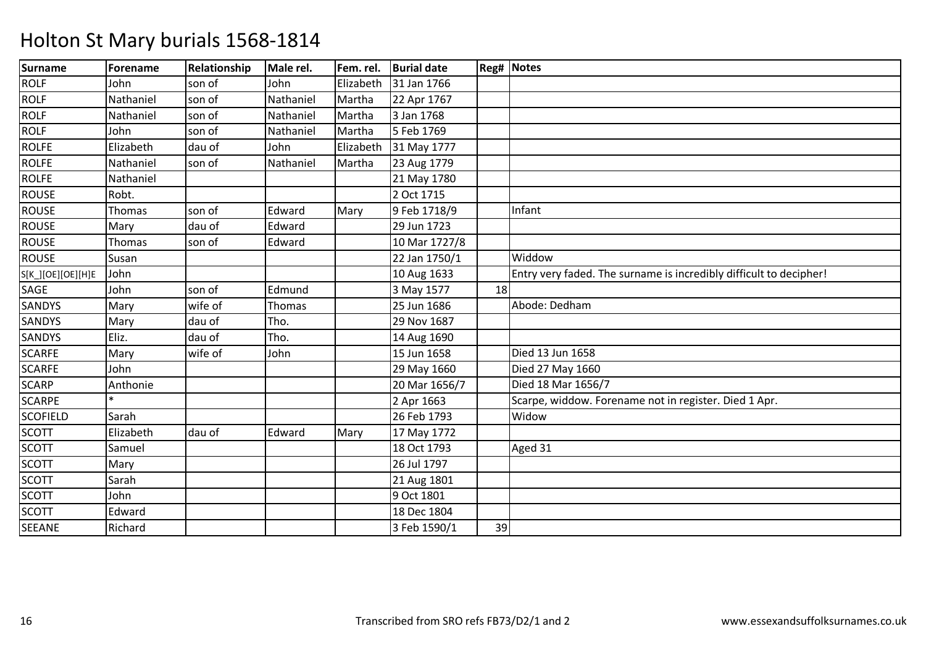| <b>Surname</b>    | Forename  | Relationship | Male rel. | Fem. rel. | <b>Burial date</b> |    | <b>Reg# Notes</b>                                                  |
|-------------------|-----------|--------------|-----------|-----------|--------------------|----|--------------------------------------------------------------------|
| <b>ROLF</b>       | John      | son of       | John      | Elizabeth | 31 Jan 1766        |    |                                                                    |
| <b>ROLF</b>       | Nathaniel | son of       | Nathaniel | Martha    | 22 Apr 1767        |    |                                                                    |
| <b>ROLF</b>       | Nathaniel | son of       | Nathaniel | Martha    | 3 Jan 1768         |    |                                                                    |
| <b>ROLF</b>       | John      | son of       | Nathaniel | Martha    | 5 Feb 1769         |    |                                                                    |
| <b>ROLFE</b>      | Elizabeth | dau of       | John      | Elizabeth | 31 May 1777        |    |                                                                    |
| <b>ROLFE</b>      | Nathaniel | son of       | Nathaniel | Martha    | 23 Aug 1779        |    |                                                                    |
| <b>ROLFE</b>      | Nathaniel |              |           |           | 21 May 1780        |    |                                                                    |
| <b>ROUSE</b>      | Robt.     |              |           |           | 2 Oct 1715         |    |                                                                    |
| <b>ROUSE</b>      | Thomas    | son of       | Edward    | Mary      | 9 Feb 1718/9       |    | Infant                                                             |
| <b>ROUSE</b>      | Mary      | dau of       | Edward    |           | 29 Jun 1723        |    |                                                                    |
| <b>ROUSE</b>      | Thomas    | son of       | Edward    |           | 10 Mar 1727/8      |    |                                                                    |
| <b>ROUSE</b>      | Susan     |              |           |           | 22 Jan 1750/1      |    | Widdow                                                             |
| S[K_][OE][OE][H]E | John      |              |           |           | 10 Aug 1633        |    | Entry very faded. The surname is incredibly difficult to decipher! |
| SAGE              | John      | son of       | Edmund    |           | 3 May 1577         | 18 |                                                                    |
| <b>SANDYS</b>     | Mary      | wife of      | Thomas    |           | 25 Jun 1686        |    | Abode: Dedham                                                      |
| SANDYS            | Mary      | dau of       | Tho.      |           | 29 Nov 1687        |    |                                                                    |
| <b>SANDYS</b>     | Eliz.     | dau of       | Tho.      |           | 14 Aug 1690        |    |                                                                    |
| <b>SCARFE</b>     | Mary      | wife of      | John      |           | 15 Jun 1658        |    | Died 13 Jun 1658                                                   |
| <b>SCARFE</b>     | John      |              |           |           | 29 May 1660        |    | Died 27 May 1660                                                   |
| <b>SCARP</b>      | Anthonie  |              |           |           | 20 Mar 1656/7      |    | Died 18 Mar 1656/7                                                 |
| <b>SCARPE</b>     |           |              |           |           | 2 Apr 1663         |    | Scarpe, widdow. Forename not in register. Died 1 Apr.              |
| <b>SCOFIELD</b>   | Sarah     |              |           |           | 26 Feb 1793        |    | Widow                                                              |
| <b>SCOTT</b>      | Elizabeth | dau of       | Edward    | Mary      | 17 May 1772        |    |                                                                    |
| <b>SCOTT</b>      | Samuel    |              |           |           | 18 Oct 1793        |    | Aged 31                                                            |
| <b>SCOTT</b>      | Mary      |              |           |           | 26 Jul 1797        |    |                                                                    |
| <b>SCOTT</b>      | Sarah     |              |           |           | 21 Aug 1801        |    |                                                                    |
| <b>SCOTT</b>      | John      |              |           |           | 9 Oct 1801         |    |                                                                    |
| <b>SCOTT</b>      | Edward    |              |           |           | 18 Dec 1804        |    |                                                                    |
| <b>SEEANE</b>     | Richard   |              |           |           | 3 Feb 1590/1       | 39 |                                                                    |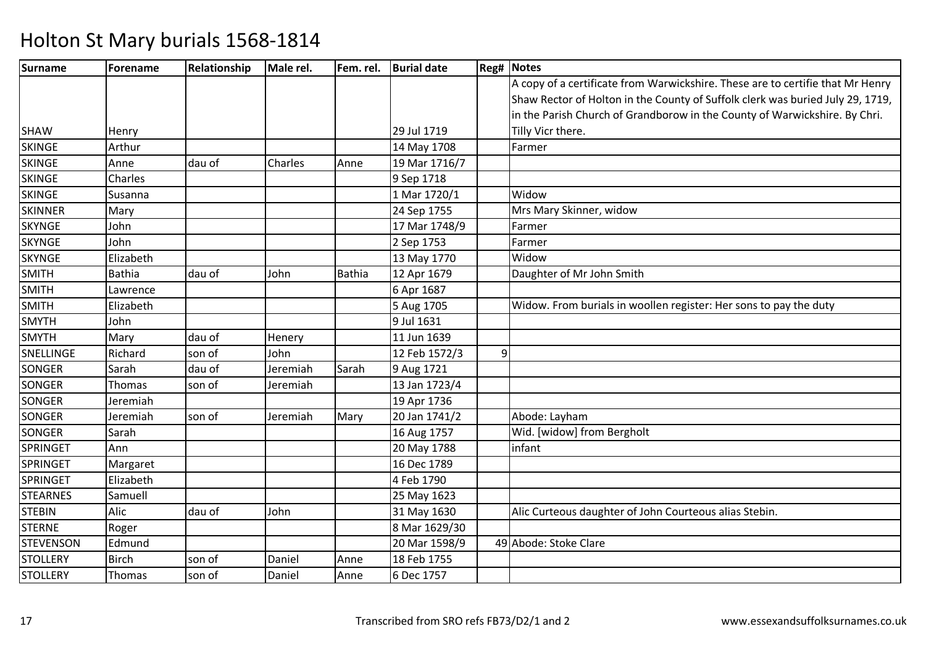| <b>Surname</b>   | Forename      | <b>Relationship</b> | Male rel. |               | Fem. rel.   Burial date |   | <b>Reg# Notes</b>                                                              |
|------------------|---------------|---------------------|-----------|---------------|-------------------------|---|--------------------------------------------------------------------------------|
|                  |               |                     |           |               |                         |   | A copy of a certificate from Warwickshire. These are to certifie that Mr Henry |
|                  |               |                     |           |               |                         |   | Shaw Rector of Holton in the County of Suffolk clerk was buried July 29, 1719, |
|                  |               |                     |           |               |                         |   | in the Parish Church of Grandborow in the County of Warwickshire. By Chri.     |
| <b>SHAW</b>      | Henry         |                     |           |               | 29 Jul 1719             |   | Tilly Vicr there.                                                              |
| <b>SKINGE</b>    | Arthur        |                     |           |               | 14 May 1708             |   | Farmer                                                                         |
| <b>SKINGE</b>    | Anne          | dau of              | Charles   | Anne          | 19 Mar 1716/7           |   |                                                                                |
| <b>SKINGE</b>    | Charles       |                     |           |               | 9 Sep 1718              |   |                                                                                |
| <b>SKINGE</b>    | Susanna       |                     |           |               | 1 Mar 1720/1            |   | Widow                                                                          |
| <b>SKINNER</b>   | Mary          |                     |           |               | 24 Sep 1755             |   | Mrs Mary Skinner, widow                                                        |
| <b>SKYNGE</b>    | John          |                     |           |               | 17 Mar 1748/9           |   | Farmer                                                                         |
| <b>SKYNGE</b>    | John          |                     |           |               | 2 Sep 1753              |   | Farmer                                                                         |
| <b>SKYNGE</b>    | Elizabeth     |                     |           |               | 13 May 1770             |   | Widow                                                                          |
| <b>SMITH</b>     | <b>Bathia</b> | dau of              | John      | <b>Bathia</b> | 12 Apr 1679             |   | Daughter of Mr John Smith                                                      |
| <b>SMITH</b>     | Lawrence      |                     |           |               | 6 Apr 1687              |   |                                                                                |
| <b>SMITH</b>     | Elizabeth     |                     |           |               | 5 Aug 1705              |   | Widow. From burials in woollen register: Her sons to pay the duty              |
| <b>SMYTH</b>     | John          |                     |           |               | 9 Jul 1631              |   |                                                                                |
| <b>SMYTH</b>     | Mary          | dau of              | Henery    |               | 11 Jun 1639             |   |                                                                                |
| SNELLINGE        | Richard       | son of              | John      |               | 12 Feb 1572/3           | 9 |                                                                                |
| SONGER           | Sarah         | dau of              | Jeremiah  | Sarah         | 9 Aug 1721              |   |                                                                                |
| SONGER           | Thomas        | son of              | Jeremiah  |               | 13 Jan 1723/4           |   |                                                                                |
| <b>SONGER</b>    | Jeremiah      |                     |           |               | 19 Apr 1736             |   |                                                                                |
| SONGER           | Jeremiah      | son of              | Jeremiah  | Mary          | 20 Jan 1741/2           |   | Abode: Layham                                                                  |
| SONGER           | Sarah         |                     |           |               | 16 Aug 1757             |   | Wid. [widow] from Bergholt                                                     |
| SPRINGET         | Ann           |                     |           |               | 20 May 1788             |   | infant                                                                         |
| <b>SPRINGET</b>  | Margaret      |                     |           |               | 16 Dec 1789             |   |                                                                                |
| <b>SPRINGET</b>  | Elizabeth     |                     |           |               | 4 Feb 1790              |   |                                                                                |
| <b>STEARNES</b>  | Samuell       |                     |           |               | 25 May 1623             |   |                                                                                |
| <b>STEBIN</b>    | Alic          | dau of              | John      |               | 31 May 1630             |   | Alic Curteous daughter of John Courteous alias Stebin.                         |
| <b>STERNE</b>    | Roger         |                     |           |               | 8 Mar 1629/30           |   |                                                                                |
| <b>STEVENSON</b> | Edmund        |                     |           |               | 20 Mar 1598/9           |   | 49 Abode: Stoke Clare                                                          |
| <b>STOLLERY</b>  | <b>Birch</b>  | son of              | Daniel    | Anne          | 18 Feb 1755             |   |                                                                                |
| <b>STOLLERY</b>  | Thomas        | son of              | Daniel    | Anne          | 6 Dec 1757              |   |                                                                                |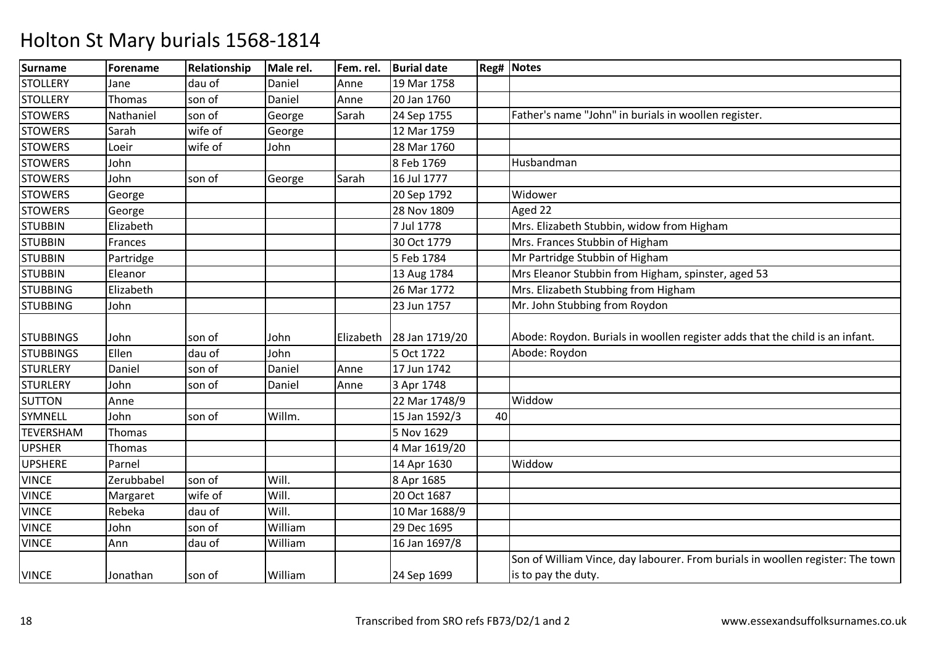| <b>Surname</b>   | Forename   | Relationship | Male rel. | Fem. rel. | <b>Burial date</b> |    | <b>Reg# Notes</b>                                                                                     |
|------------------|------------|--------------|-----------|-----------|--------------------|----|-------------------------------------------------------------------------------------------------------|
| <b>STOLLERY</b>  | Jane       | dau of       | Daniel    | Anne      | 19 Mar 1758        |    |                                                                                                       |
| <b>STOLLERY</b>  | Thomas     | son of       | Daniel    | Anne      | 20 Jan 1760        |    |                                                                                                       |
| <b>STOWERS</b>   | Nathaniel  | son of       | George    | Sarah     | 24 Sep 1755        |    | Father's name "John" in burials in woollen register.                                                  |
| <b>STOWERS</b>   | Sarah      | wife of      | George    |           | 12 Mar 1759        |    |                                                                                                       |
| <b>STOWERS</b>   | Loeir      | wife of      | John      |           | 28 Mar 1760        |    |                                                                                                       |
| <b>STOWERS</b>   | John       |              |           |           | 8 Feb 1769         |    | Husbandman                                                                                            |
| <b>STOWERS</b>   | John       | son of       | George    | Sarah     | 16 Jul 1777        |    |                                                                                                       |
| <b>STOWERS</b>   | George     |              |           |           | 20 Sep 1792        |    | Widower                                                                                               |
| <b>STOWERS</b>   | George     |              |           |           | 28 Nov 1809        |    | Aged 22                                                                                               |
| <b>STUBBIN</b>   | Elizabeth  |              |           |           | 7 Jul 1778         |    | Mrs. Elizabeth Stubbin, widow from Higham                                                             |
| <b>STUBBIN</b>   | Frances    |              |           |           | 30 Oct 1779        |    | Mrs. Frances Stubbin of Higham                                                                        |
| <b>STUBBIN</b>   | Partridge  |              |           |           | 5 Feb 1784         |    | Mr Partridge Stubbin of Higham                                                                        |
| <b>STUBBIN</b>   | Eleanor    |              |           |           | 13 Aug 1784        |    | Mrs Eleanor Stubbin from Higham, spinster, aged 53                                                    |
| <b>STUBBING</b>  | Elizabeth  |              |           |           | 26 Mar 1772        |    | Mrs. Elizabeth Stubbing from Higham                                                                   |
| <b>STUBBING</b>  | John       |              |           |           | 23 Jun 1757        |    | Mr. John Stubbing from Roydon                                                                         |
| <b>STUBBINGS</b> | John       | son of       | John      | Elizabeth | 28 Jan 1719/20     |    | Abode: Roydon. Burials in woollen register adds that the child is an infant.                          |
| <b>STUBBINGS</b> | Ellen      | dau of       | John      |           | 5 Oct 1722         |    | Abode: Roydon                                                                                         |
| <b>STURLERY</b>  | Daniel     | son of       | Daniel    | Anne      | 17 Jun 1742        |    |                                                                                                       |
| <b>STURLERY</b>  | John       | son of       | Daniel    | Anne      | 3 Apr 1748         |    |                                                                                                       |
| <b>SUTTON</b>    | Anne       |              |           |           | 22 Mar 1748/9      |    | Widdow                                                                                                |
| SYMNELL          | John       | son of       | Willm.    |           | 15 Jan 1592/3      | 40 |                                                                                                       |
| <b>TEVERSHAM</b> | Thomas     |              |           |           | 5 Nov 1629         |    |                                                                                                       |
| <b>UPSHER</b>    | Thomas     |              |           |           | 4 Mar 1619/20      |    |                                                                                                       |
| <b>UPSHERE</b>   | Parnel     |              |           |           | 14 Apr 1630        |    | Widdow                                                                                                |
| <b>VINCE</b>     | Zerubbabel | son of       | Will.     |           | 8 Apr 1685         |    |                                                                                                       |
| <b>VINCE</b>     | Margaret   | wife of      | Will.     |           | 20 Oct 1687        |    |                                                                                                       |
| <b>VINCE</b>     | Rebeka     | dau of       | Will.     |           | 10 Mar 1688/9      |    |                                                                                                       |
| <b>VINCE</b>     | John       | son of       | William   |           | 29 Dec 1695        |    |                                                                                                       |
| <b>VINCE</b>     | Ann        | dau of       | William   |           | 16 Jan 1697/8      |    |                                                                                                       |
| <b>VINCE</b>     | Jonathan   | son of       | William   |           | 24 Sep 1699        |    | Son of William Vince, day labourer. From burials in woollen register: The town<br>is to pay the duty. |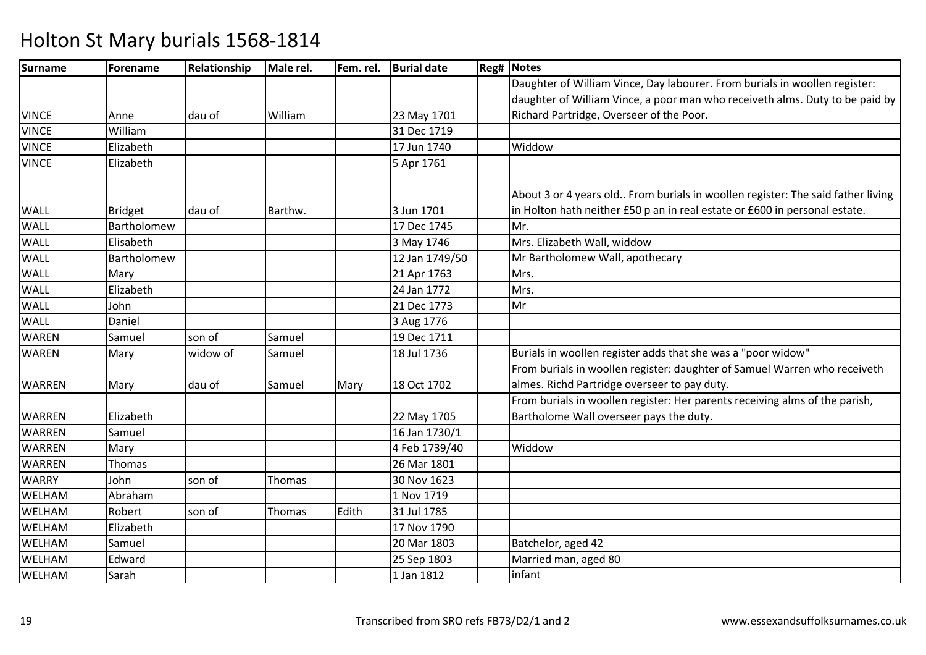| Surname       | <b>Forename</b> | Relationship | Male rel. | Fem. rel. | <b>Burial date</b> | <b>Reg# Notes</b>                                                               |
|---------------|-----------------|--------------|-----------|-----------|--------------------|---------------------------------------------------------------------------------|
|               |                 |              |           |           |                    | Daughter of William Vince, Day labourer. From burials in woollen register:      |
|               |                 |              |           |           |                    | daughter of William Vince, a poor man who receiveth alms. Duty to be paid by    |
| <b>VINCE</b>  | Anne            | dau of       | William   |           | 23 May 1701        | Richard Partridge, Overseer of the Poor.                                        |
| <b>VINCE</b>  | William         |              |           |           | 31 Dec 1719        |                                                                                 |
| <b>VINCE</b>  | Elizabeth       |              |           |           | 17 Jun 1740        | Widdow                                                                          |
| <b>VINCE</b>  | Elizabeth       |              |           |           | 5 Apr 1761         |                                                                                 |
|               |                 |              |           |           |                    |                                                                                 |
|               |                 |              |           |           |                    | About 3 or 4 years old From burials in woollen register: The said father living |
| <b>WALL</b>   | <b>Bridget</b>  | dau of       | Barthw.   |           | 3 Jun 1701         | in Holton hath neither £50 p an in real estate or £600 in personal estate.      |
| WALL          | Bartholomew     |              |           |           | 17 Dec 1745        | Mr.                                                                             |
| <b>WALL</b>   | Elisabeth       |              |           |           | 3 May 1746         | Mrs. Elizabeth Wall, widdow                                                     |
| <b>WALL</b>   | Bartholomew     |              |           |           | 12 Jan 1749/50     | Mr Bartholomew Wall, apothecary                                                 |
| <b>WALL</b>   | Mary            |              |           |           | 21 Apr 1763        | Mrs.                                                                            |
| WALL          | Elizabeth       |              |           |           | 24 Jan 1772        | Mrs.                                                                            |
| WALL          | John            |              |           |           | 21 Dec 1773        | Mr                                                                              |
| <b>WALL</b>   | Daniel          |              |           |           | 3 Aug 1776         |                                                                                 |
| <b>WAREN</b>  | Samuel          | son of       | Samuel    |           | 19 Dec 1711        |                                                                                 |
| <b>WAREN</b>  | Mary            | widow of     | Samuel    |           | 18 Jul 1736        | Burials in woollen register adds that she was a "poor widow"                    |
|               |                 |              |           |           |                    | From burials in woollen register: daughter of Samuel Warren who receiveth       |
| <b>WARREN</b> | Mary            | dau of       | Samuel    | Mary      | 18 Oct 1702        | almes. Richd Partridge overseer to pay duty.                                    |
|               |                 |              |           |           |                    | From burials in woollen register: Her parents receiving alms of the parish,     |
| <b>WARREN</b> | Elizabeth       |              |           |           | 22 May 1705        | Bartholome Wall overseer pays the duty.                                         |
| <b>WARREN</b> | Samuel          |              |           |           | 16 Jan 1730/1      |                                                                                 |
| <b>WARREN</b> | Mary            |              |           |           | 4 Feb 1739/40      | Widdow                                                                          |
| <b>WARREN</b> | <b>Thomas</b>   |              |           |           | 26 Mar 1801        |                                                                                 |
| <b>WARRY</b>  | John            | son of       | Thomas    |           | 30 Nov 1623        |                                                                                 |
| WELHAM        | Abraham         |              |           |           | 1 Nov 1719         |                                                                                 |
| WELHAM        | Robert          | son of       | Thomas    | Edith     | 31 Jul 1785        |                                                                                 |
| WELHAM        | Elizabeth       |              |           |           | 17 Nov 1790        |                                                                                 |
| <b>WELHAM</b> | Samuel          |              |           |           | 20 Mar 1803        | Batchelor, aged 42                                                              |
| <b>WELHAM</b> | Edward          |              |           |           | 25 Sep 1803        | Married man, aged 80                                                            |
| WELHAM        | Sarah           |              |           |           | 1 Jan 1812         | infant                                                                          |